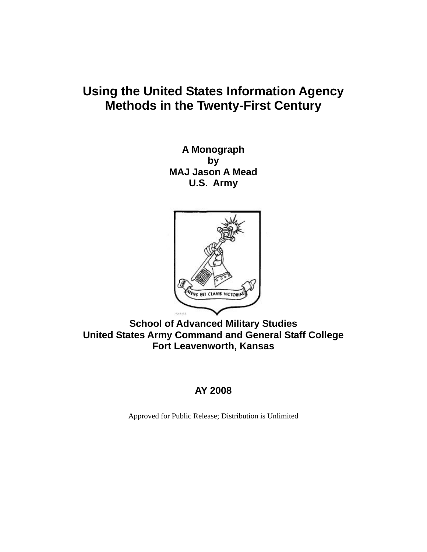# **Using the United States Information Agency Methods in the Twenty-First Century**

**A Monograph by MAJ Jason A Mead U.S. Army** 



**School of Advanced Military Studies United States Army Command and General Staff College Fort Leavenworth, Kansas** 

## **AY 2008**

Approved for Public Release; Distribution is Unlimited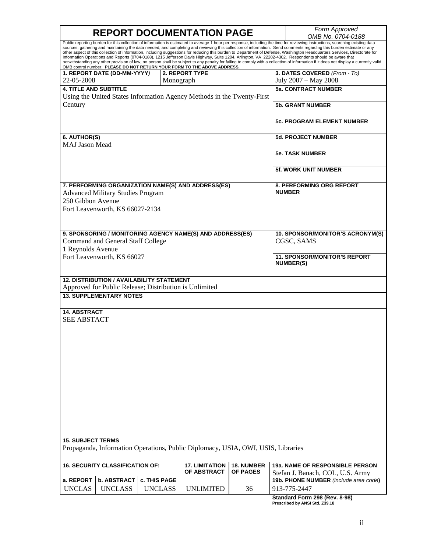| <b>REPORT DOCUMENTATION PAGE</b> | <b>Form Approved</b> |
|----------------------------------|----------------------|
|                                  | OMB No. 0704-0188    |

| Public reporting burden for this collection of information is estimated to average 1 hour per response, including the time for reviewing instructions, searching existing data<br>sources, gathering and maintaining the data needed, and completing and reviewing this collection of information. Send comments regarding this burden estimate or any |                                                                                          |              |                                                                                  |                                   |                                                                                                                                                                                       |  |  |
|--------------------------------------------------------------------------------------------------------------------------------------------------------------------------------------------------------------------------------------------------------------------------------------------------------------------------------------------------------|------------------------------------------------------------------------------------------|--------------|----------------------------------------------------------------------------------|-----------------------------------|---------------------------------------------------------------------------------------------------------------------------------------------------------------------------------------|--|--|
| other aspect of this collection of information, including suggestions for reducing this burden to Department of Defense, Washington Headquarters Services, Directorate for<br>Information Operations and Reports (0704-0188), 1215 Jefferson Davis Highway, Suite 1204, Arlington, VA 22202-4302. Respondents should be aware that                     |                                                                                          |              |                                                                                  |                                   |                                                                                                                                                                                       |  |  |
|                                                                                                                                                                                                                                                                                                                                                        |                                                                                          |              | OMB control number. PLEASE DO NOT RETURN YOUR FORM TO THE ABOVE ADDRESS.         |                                   | notwithstanding any other provision of law, no person shall be subject to any penalty for failing to comply with a collection of information if it does not display a currently valid |  |  |
|                                                                                                                                                                                                                                                                                                                                                        | 1. REPORT DATE (DD-MM-YYYY)                                                              |              | 2. REPORT TYPE                                                                   |                                   | 3. DATES COVERED (From - To)                                                                                                                                                          |  |  |
| 22-05-2008                                                                                                                                                                                                                                                                                                                                             |                                                                                          | Monograph    |                                                                                  |                                   | July 2007 - May 2008                                                                                                                                                                  |  |  |
| <b>4. TITLE AND SUBTITLE</b>                                                                                                                                                                                                                                                                                                                           |                                                                                          |              |                                                                                  | 5a. CONTRACT NUMBER               |                                                                                                                                                                                       |  |  |
|                                                                                                                                                                                                                                                                                                                                                        |                                                                                          |              | Using the United States Information Agency Methods in the Twenty-First           |                                   |                                                                                                                                                                                       |  |  |
| Century                                                                                                                                                                                                                                                                                                                                                |                                                                                          |              | <b>5b. GRANT NUMBER</b>                                                          |                                   |                                                                                                                                                                                       |  |  |
|                                                                                                                                                                                                                                                                                                                                                        |                                                                                          |              |                                                                                  | <b>5c. PROGRAM ELEMENT NUMBER</b> |                                                                                                                                                                                       |  |  |
| 6. AUTHOR(S)<br><b>MAJ Jason Mead</b>                                                                                                                                                                                                                                                                                                                  |                                                                                          |              | <b>5d. PROJECT NUMBER</b>                                                        |                                   |                                                                                                                                                                                       |  |  |
|                                                                                                                                                                                                                                                                                                                                                        |                                                                                          |              | <b>5e. TASK NUMBER</b>                                                           |                                   |                                                                                                                                                                                       |  |  |
|                                                                                                                                                                                                                                                                                                                                                        |                                                                                          |              |                                                                                  |                                   | <b>5f. WORK UNIT NUMBER</b>                                                                                                                                                           |  |  |
|                                                                                                                                                                                                                                                                                                                                                        |                                                                                          |              | 7. PERFORMING ORGANIZATION NAME(S) AND ADDRESS(ES)                               |                                   | <b>8. PERFORMING ORG REPORT</b>                                                                                                                                                       |  |  |
|                                                                                                                                                                                                                                                                                                                                                        | <b>Advanced Military Studies Program</b>                                                 |              |                                                                                  |                                   | <b>NUMBER</b>                                                                                                                                                                         |  |  |
| 250 Gibbon Avenue                                                                                                                                                                                                                                                                                                                                      |                                                                                          |              |                                                                                  |                                   |                                                                                                                                                                                       |  |  |
|                                                                                                                                                                                                                                                                                                                                                        | Fort Leavenworth, KS 66027-2134                                                          |              |                                                                                  |                                   |                                                                                                                                                                                       |  |  |
|                                                                                                                                                                                                                                                                                                                                                        |                                                                                          |              |                                                                                  |                                   |                                                                                                                                                                                       |  |  |
|                                                                                                                                                                                                                                                                                                                                                        |                                                                                          |              |                                                                                  |                                   |                                                                                                                                                                                       |  |  |
|                                                                                                                                                                                                                                                                                                                                                        |                                                                                          |              | 9. SPONSORING / MONITORING AGENCY NAME(S) AND ADDRESS(ES)                        |                                   | 10. SPONSOR/MONITOR'S ACRONYM(S)                                                                                                                                                      |  |  |
|                                                                                                                                                                                                                                                                                                                                                        | Command and General Staff College                                                        |              |                                                                                  |                                   | CGSC, SAMS                                                                                                                                                                            |  |  |
| 1 Reynolds Avenue                                                                                                                                                                                                                                                                                                                                      | Fort Leavenworth, KS 66027                                                               |              |                                                                                  |                                   | <b>11. SPONSOR/MONITOR'S REPORT</b>                                                                                                                                                   |  |  |
|                                                                                                                                                                                                                                                                                                                                                        |                                                                                          |              |                                                                                  |                                   | <b>NUMBER(S)</b>                                                                                                                                                                      |  |  |
|                                                                                                                                                                                                                                                                                                                                                        |                                                                                          |              |                                                                                  |                                   |                                                                                                                                                                                       |  |  |
|                                                                                                                                                                                                                                                                                                                                                        |                                                                                          |              |                                                                                  |                                   |                                                                                                                                                                                       |  |  |
|                                                                                                                                                                                                                                                                                                                                                        | <b>12. DISTRIBUTION / AVAILABILITY STATEMENT</b>                                         |              |                                                                                  |                                   |                                                                                                                                                                                       |  |  |
|                                                                                                                                                                                                                                                                                                                                                        | Approved for Public Release; Distribution is Unlimited<br><b>13. SUPPLEMENTARY NOTES</b> |              |                                                                                  |                                   |                                                                                                                                                                                       |  |  |
|                                                                                                                                                                                                                                                                                                                                                        |                                                                                          |              |                                                                                  |                                   |                                                                                                                                                                                       |  |  |
| <b>14. ABSTRACT</b>                                                                                                                                                                                                                                                                                                                                    |                                                                                          |              |                                                                                  |                                   |                                                                                                                                                                                       |  |  |
| <b>SEE ABSTACT</b>                                                                                                                                                                                                                                                                                                                                     |                                                                                          |              |                                                                                  |                                   |                                                                                                                                                                                       |  |  |
|                                                                                                                                                                                                                                                                                                                                                        |                                                                                          |              |                                                                                  |                                   |                                                                                                                                                                                       |  |  |
|                                                                                                                                                                                                                                                                                                                                                        |                                                                                          |              |                                                                                  |                                   |                                                                                                                                                                                       |  |  |
|                                                                                                                                                                                                                                                                                                                                                        |                                                                                          |              |                                                                                  |                                   |                                                                                                                                                                                       |  |  |
|                                                                                                                                                                                                                                                                                                                                                        |                                                                                          |              |                                                                                  |                                   |                                                                                                                                                                                       |  |  |
|                                                                                                                                                                                                                                                                                                                                                        |                                                                                          |              |                                                                                  |                                   |                                                                                                                                                                                       |  |  |
|                                                                                                                                                                                                                                                                                                                                                        |                                                                                          |              |                                                                                  |                                   |                                                                                                                                                                                       |  |  |
|                                                                                                                                                                                                                                                                                                                                                        |                                                                                          |              |                                                                                  |                                   |                                                                                                                                                                                       |  |  |
|                                                                                                                                                                                                                                                                                                                                                        |                                                                                          |              |                                                                                  |                                   |                                                                                                                                                                                       |  |  |
|                                                                                                                                                                                                                                                                                                                                                        |                                                                                          |              |                                                                                  |                                   |                                                                                                                                                                                       |  |  |
|                                                                                                                                                                                                                                                                                                                                                        |                                                                                          |              |                                                                                  |                                   |                                                                                                                                                                                       |  |  |
|                                                                                                                                                                                                                                                                                                                                                        |                                                                                          |              |                                                                                  |                                   |                                                                                                                                                                                       |  |  |
|                                                                                                                                                                                                                                                                                                                                                        |                                                                                          |              |                                                                                  |                                   |                                                                                                                                                                                       |  |  |
|                                                                                                                                                                                                                                                                                                                                                        |                                                                                          |              |                                                                                  |                                   |                                                                                                                                                                                       |  |  |
| <b>15. SUBJECT TERMS</b>                                                                                                                                                                                                                                                                                                                               |                                                                                          |              |                                                                                  |                                   |                                                                                                                                                                                       |  |  |
|                                                                                                                                                                                                                                                                                                                                                        |                                                                                          |              | Propaganda, Information Operations, Public Diplomacy, USIA, OWI, USIS, Libraries |                                   |                                                                                                                                                                                       |  |  |
|                                                                                                                                                                                                                                                                                                                                                        | <b>16. SECURITY CLASSIFICATION OF:</b>                                                   |              | <b>17. LIMITATION</b>                                                            | <b>18. NUMBER</b>                 | <b>19a. NAME OF RESPONSIBLE PERSON</b>                                                                                                                                                |  |  |
|                                                                                                                                                                                                                                                                                                                                                        |                                                                                          |              | OF ABSTRACT                                                                      | <b>OF PAGES</b>                   | Stefan J. Banach, COL, U.S. Army                                                                                                                                                      |  |  |
| a. REPORT                                                                                                                                                                                                                                                                                                                                              | <b>b. ABSTRACT</b>                                                                       | c. THIS PAGE |                                                                                  |                                   | 19b. PHONE NUMBER (include area code)                                                                                                                                                 |  |  |

**Standard Form 298 (Rev. 8-98) Prescribed by ANSI Std. Z39.18**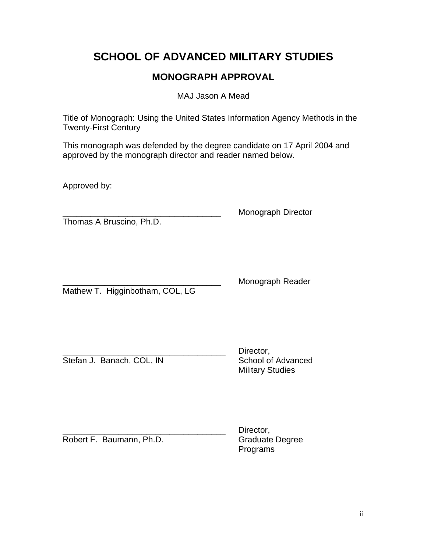## **SCHOOL OF ADVANCED MILITARY STUDIES**

## **MONOGRAPH APPROVAL**

MAJ Jason A Mead

Title of Monograph: Using the United States Information Agency Methods in the Twenty-First Century

This monograph was defended by the degree candidate on 17 April 2004 and approved by the monograph director and reader named below.

Approved by:

Thomas A Bruscino, Ph.D.

\_\_\_\_\_\_\_\_\_\_\_\_\_\_\_\_\_\_\_\_\_\_\_\_\_\_\_\_\_\_\_\_\_\_ Monograph Director

Mathew T. Higginbotham, COL, LG

Monograph Reader

Stefan J. Banach, COL, IN School of Advanced

Director. Military Studies

Robert F. Baumann, Ph.D. Graduate Degree

Director. Programs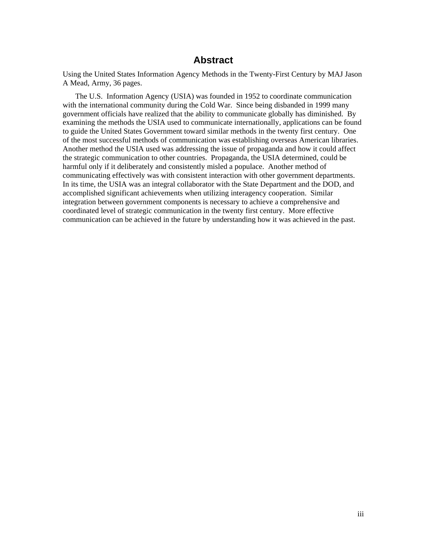## **Abstract**

Using the United States Information Agency Methods in the Twenty-First Century by MAJ Jason A Mead, Army, 36 pages.

The U.S. Information Agency (USIA) was founded in 1952 to coordinate communication with the international community during the Cold War. Since being disbanded in 1999 many government officials have realized that the ability to communicate globally has diminished. By examining the methods the USIA used to communicate internationally, applications can be found to guide the United States Government toward similar methods in the twenty first century. One of the most successful methods of communication was establishing overseas American libraries. Another method the USIA used was addressing the issue of propaganda and how it could affect the strategic communication to other countries. Propaganda, the USIA determined, could be harmful only if it deliberately and consistently misled a populace. Another method of communicating effectively was with consistent interaction with other government departments. In its time, the USIA was an integral collaborator with the State Department and the DOD, and accomplished significant achievements when utilizing interagency cooperation. Similar integration between government components is necessary to achieve a comprehensive and coordinated level of strategic communication in the twenty first century. More effective communication can be achieved in the future by understanding how it was achieved in the past.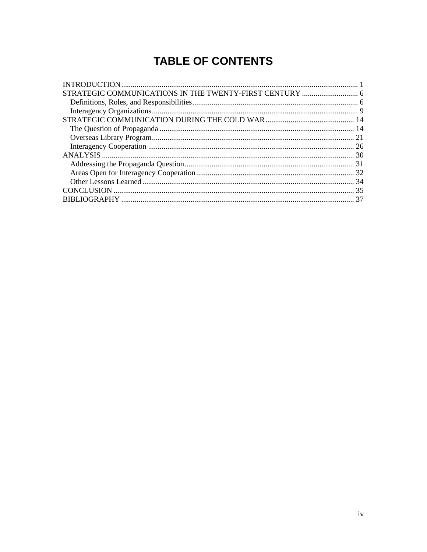# **TABLE OF CONTENTS**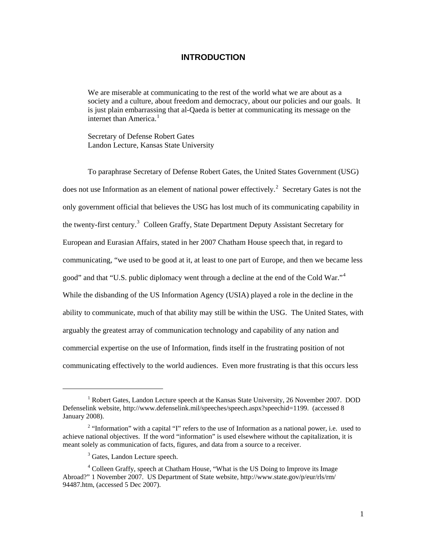## **INTRODUCTION**

<span id="page-5-0"></span>We are miserable at communicating to the rest of the world what we are about as a society and a culture, about freedom and democracy, about our policies and our goals. It is just plain embarrassing that al-Qaeda is better at communicating its message on the internet than America. $<sup>1</sup>$  $<sup>1</sup>$  $<sup>1</sup>$ </sup>

Secretary of Defense Robert Gates Landon Lecture, Kansas State University

 To paraphrase Secretary of Defense Robert Gates, the United States Government (USG) does not use Information as an element of national power effectively.<sup>[2](#page-5-2)</sup> Secretary Gates is not the only government official that believes the USG has lost much of its communicating capability in the twenty-first century.<sup>[3](#page-5-3)</sup> Colleen Graffy, State Department Deputy Assistant Secretary for European and Eurasian Affairs, stated in her 2007 Chatham House speech that, in regard to communicating, "we used to be good at it, at least to one part of Europe, and then we became less good" and that "U.S. public diplomacy went through a decline at the end of the Cold War."<sup>[4](#page-5-4)</sup> While the disbanding of the US Information Agency (USIA) played a role in the decline in the ability to communicate, much of that ability may still be within the USG. The United States, with arguably the greatest array of communication technology and capability of any nation and commercial expertise on the use of Information, finds itself in the frustrating position of not communicating effectively to the world audiences. Even more frustrating is that this occurs less

<span id="page-5-1"></span><sup>&</sup>lt;sup>1</sup> Robert Gates, Landon Lecture speech at the Kansas State University, 26 November 2007. DOD Defenselink website, http://www.defenselink.mil/speeches/speech.aspx?speechid=1199. (accessed 8 January 2008).

<span id="page-5-2"></span> $2$  "Information" with a capital "I" refers to the use of Information as a national power, i.e. used to achieve national objectives. If the word "information" is used elsewhere without the capitalization, it is meant solely as communication of facts, figures, and data from a source to a receiver.

<sup>&</sup>lt;sup>3</sup> Gates, Landon Lecture speech.

<span id="page-5-4"></span><span id="page-5-3"></span><sup>&</sup>lt;sup>4</sup> Colleen Graffy, speech at Chatham House, "What is the US Doing to Improve its Image Abroad?" 1 November 2007. US Department of State website, http://www.state.gov/p/eur/rls/rm/ 94487.htm, (accessed 5 Dec 2007).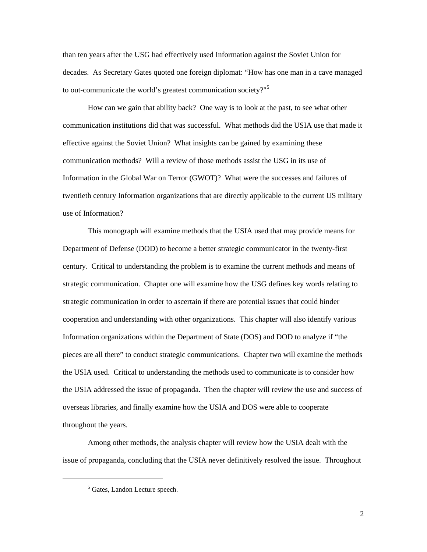than ten years after the USG had effectively used Information against the Soviet Union for decades. As Secretary Gates quoted one foreign diplomat: "How has one man in a cave managed to out-communicate the world's greatest communication society?"[5](#page-6-0)

 How can we gain that ability back? One way is to look at the past, to see what other communication institutions did that was successful. What methods did the USIA use that made it effective against the Soviet Union? What insights can be gained by examining these communication methods? Will a review of those methods assist the USG in its use of Information in the Global War on Terror (GWOT)? What were the successes and failures of twentieth century Information organizations that are directly applicable to the current US military use of Information?

 This monograph will examine methods that the USIA used that may provide means for Department of Defense (DOD) to become a better strategic communicator in the twenty-first century. Critical to understanding the problem is to examine the current methods and means of strategic communication. Chapter one will examine how the USG defines key words relating to strategic communication in order to ascertain if there are potential issues that could hinder cooperation and understanding with other organizations. This chapter will also identify various Information organizations within the Department of State (DOS) and DOD to analyze if "the pieces are all there" to conduct strategic communications. Chapter two will examine the methods the USIA used. Critical to understanding the methods used to communicate is to consider how the USIA addressed the issue of propaganda. Then the chapter will review the use and success of overseas libraries, and finally examine how the USIA and DOS were able to cooperate throughout the years.

 Among other methods, the analysis chapter will review how the USIA dealt with the issue of propaganda, concluding that the USIA never definitively resolved the issue. Throughout

<span id="page-6-0"></span> $\overline{a}$ 

2

<sup>5</sup> Gates, Landon Lecture speech.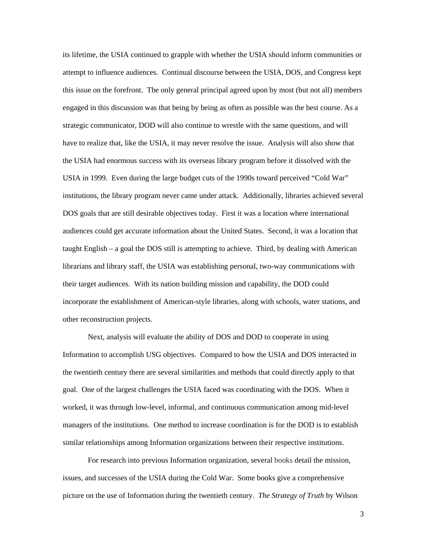its lifetime, the USIA continued to grapple with whether the USIA should inform communities or attempt to influence audiences. Continual discourse between the USIA, DOS, and Congress kept this issue on the forefront. The only general principal agreed upon by most (but not all) members engaged in this discussion was that being by being as often as possible was the best course. As a strategic communicator, DOD will also continue to wrestle with the same questions, and will have to realize that, like the USIA, it may never resolve the issue. Analysis will also show that the USIA had enormous success with its overseas library program before it dissolved with the USIA in 1999. Even during the large budget cuts of the 1990s toward perceived "Cold War" institutions, the library program never came under attack. Additionally, libraries achieved several DOS goals that are still desirable objectives today. First it was a location where international audiences could get accurate information about the United States. Second, it was a location that taught English – a goal the DOS still is attempting to achieve. Third, by dealing with American librarians and library staff, the USIA was establishing personal, two-way communications with their target audiences. With its nation building mission and capability, the DOD could incorporate the establishment of American-style libraries, along with schools, water stations, and other reconstruction projects.

 Next, analysis will evaluate the ability of DOS and DOD to cooperate in using Information to accomplish USG objectives. Compared to how the USIA and DOS interacted in the twentieth century there are several similarities and methods that could directly apply to that goal. One of the largest challenges the USIA faced was coordinating with the DOS. When it worked, it was through low-level, informal, and continuous communication among mid-level managers of the institutions. One method to increase coordination is for the DOD is to establish similar relationships among Information organizations between their respective institutions.

 For research into previous Information organization, several books detail the mission, issues, and successes of the USIA during the Cold War. Some books give a comprehensive picture on the use of Information during the twentieth century. *The Strategy of Truth* by Wilson

3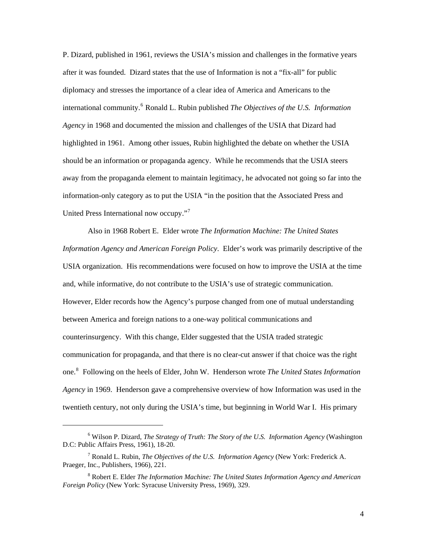P. Dizard, published in 1961, reviews the USIA's mission and challenges in the formative years after it was founded. Dizard states that the use of Information is not a "fix-all" for public diplomacy and stresses the importance of a clear idea of America and Americans to the international community.[6](#page-8-0) Ronald L. Rubin published *The Objectives of the U.S. Information Agency* in 1968 and documented the mission and challenges of the USIA that Dizard had highlighted in 1961. Among other issues, Rubin highlighted the debate on whether the USIA should be an information or propaganda agency. While he recommends that the USIA steers away from the propaganda element to maintain legitimacy, he advocated not going so far into the information-only category as to put the USIA "in the position that the Associated Press and United Press International now occupy."<sup>[7](#page-8-1)</sup>

Also in 1968 Robert E. Elder wrote *The Information Machine: The United States Information Agency and American Foreign Policy*. Elder's work was primarily descriptive of the USIA organization. His recommendations were focused on how to improve the USIA at the time and, while informative, do not contribute to the USIA's use of strategic communication. However, Elder records how the Agency's purpose changed from one of mutual understanding between America and foreign nations to a one-way political communications and counterinsurgency. With this change, Elder suggested that the USIA traded strategic communication for propaganda, and that there is no clear-cut answer if that choice was the right one.[8](#page-8-2) Following on the heels of Elder, John W. Henderson wrote *The United States Information Agency* in 1969. Henderson gave a comprehensive overview of how Information was used in the twentieth century, not only during the USIA's time, but beginning in World War I. His primary

<span id="page-8-0"></span><sup>&</sup>lt;sup>6</sup> Wilson P. Dizard, *The Strategy of Truth: The Story of the U.S. Information Agency* (Washington D.C: Public Affairs Press, 1961), 18-20.

<span id="page-8-1"></span><sup>7</sup> Ronald L. Rubin, *The Objectives of the U.S. Information Agency* (New York: Frederick A. Praeger, Inc., Publishers, 1966), 221.

<span id="page-8-2"></span><sup>&</sup>lt;sup>8</sup> Robert E. Elder *The Information Machine: The United States Information Agency and American Foreign Policy* (New York: Syracuse University Press, 1969), 329.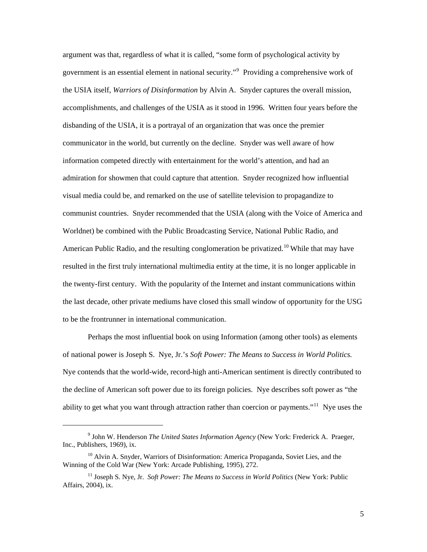argument was that, regardless of what it is called, "some form of psychological activity by government is an essential element in national security."<sup>[9](#page-9-0)</sup> Providing a comprehensive work of the USIA itself, *Warriors of Disinformation* by Alvin A. Snyder captures the overall missio n, accomplishments, and challenges of the USIA as it stood in 1996. Written four years before the disbanding of the USIA, it is a portrayal of an organization that was once the premier communicator in the world, but currently on the decline. Snyder was well aware of how information competed directly with entertainment for the world's attention, and had an admiration for showmen that could capture that attention. Snyder recognized how influential visual media could be, and remarked on the use of satellite television to propagandize to communist countries. Snyder recommended that the USIA (along with the Voice of America and Worldnet) be combined with the Public Broadcasting Service, National Public Radio, and American Public Radio, and the resulting conglomeration be privatized.<sup>[10](#page-9-1)</sup> While that may have resulted in the first truly international multimedia entity at the time, it is no longer applicable in the twenty-first century. With the popularity of the Internet and instant communications within the last decade, other private mediums have closed this small window of opportunity for the USG to be the frontrunner in international communication.

 Perhaps the most influential book on using Information (among other tools) as elements of national power is Joseph S. Nye, Jr.'s *Soft Power: The Means to Success in World Politics.*  Nye contends that the world-wide, record-high anti-American sentiment is directly contributed to the decline of American soft power due to its foreign policies. Nye describes soft power as "the ability to get what you want through attraction rather than coercion or payments."<sup>[11](#page-9-2)</sup> Nye uses the

<span id="page-9-0"></span><sup>9</sup> John W. Henderson *The United States Information Agency* (New York: Frederick A. Praeger, Inc., Publishers, 1969), ix.

<span id="page-9-1"></span><sup>&</sup>lt;sup>10</sup> Alvin A. Snyder, Warriors of Disinformation: America Propaganda, Soviet Lies, and the Winning of the Cold War (New York: Arcade Publishing, 1995), 272.

<span id="page-9-2"></span><sup>&</sup>lt;sup>11</sup> Joseph S. Nye, Jr. *Soft Power: The Means to Success in World Politics* (New York: Public Affairs, 2004), ix.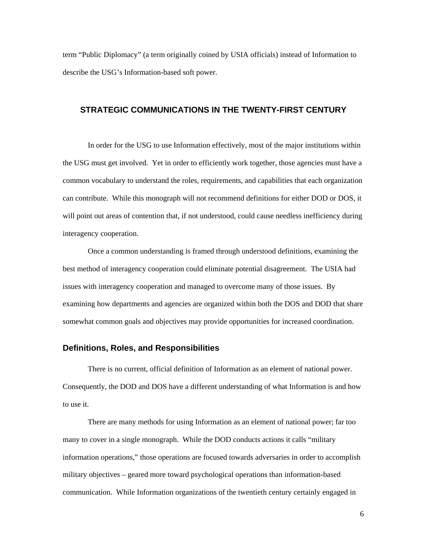<span id="page-10-0"></span>term "Public Diplomacy" (a term originally coined by USIA officials) instead of Information to describe the USG's Information-based soft power.

## **STRATEGIC COMMUNICATIONS IN THE TWENTY-FIRST CENTURY**

 In order for the USG to use Information effectively, most of the major institutions within the USG must get involved. Yet in order to efficiently work together, those agencies must have a common vocabulary to understand the roles, requirements, and capabilities that each organization can contribute. While this monograph will not recommend definitions for either DOD or DOS, it will point out areas of contention that, if not understood, could cause needless inefficiency during interagency cooperation.

 Once a common understanding is framed through understood definitions, examining the best method of interagency cooperation could eliminate potential disagreement. The USIA had issues with interagency cooperation and managed to overcome many of those issues. By examining how departments and agencies are organized within both the DOS and DOD that share somewhat common goals and objectives may provide opportunities for increased coordination.

#### **Definitions, Roles, and Responsibilities**

 There is no current, official definition of Information as an element of national power. Consequently, the DOD and DOS have a different understanding of what Information is and how to use it.

 There are many methods for using Information as an element of national power; far too many to cover in a single monograph. While the DOD conducts actions it calls "military information operations," those operations are focused towards adversaries in order to accomplish military objectives – geared more toward psychological operations than information-based communication. While Information organizations of the twentieth century certainly engaged in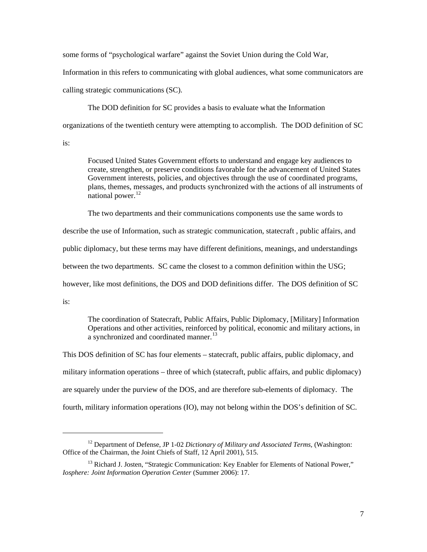some forms of "psychological warfare" against the Soviet Union during the Cold War,

Information in this refers to communicating with global audiences, what some communicators are calling strategic communications (SC).

The DOD definition for SC provides a basis to evaluate what the Information organizations of the twentieth century were attempting to accomplish. The DOD definition of SC

is:

Focused United States Government efforts to understand and engage key audiences to create, strengthen, or preserve conditions favorable for the advancement of United States Government interests, policies, and objectives through the use of coordinated programs, plans, themes, messages, and products synchronized with the actions of all instruments of national power. $^{12}$  $^{12}$  $^{12}$ 

The two departments and their communications components use the same words to

describe the use of Information, such as strategic communication, statecraft , public affairs, and

public diplomacy, but these terms may have different definitions, meanings, and understandings

between the two departments. SC came the closest to a common definition within the USG;

however, like most definitions, the DOS and DOD definitions differ. The DOS definition of SC

is:

 $\overline{a}$ 

The coordination of Statecraft, Public Affairs, Public Diplomacy, [Military] Information Operations and other activities, reinforced by political, economic and military actions, in a synchronized and coordinated manner.<sup>[13](#page-11-1)</sup>

This DOS definition of SC has four elements – statecraft, public affairs, public diplomacy, and military information operations – three of which (statecraft, public affairs, and public diplomacy) are squarely under the purview of the DOS, and are therefore sub-elements of diplomacy. The fourth, military information operations (IO), may not belong within the DOS's definition of SC.

<span id="page-11-0"></span><sup>&</sup>lt;sup>12</sup> Department of Defense, JP 1-02 *Dictionary of Military and Associated Terms*, (Washington: Office of the Chairman, the Joint Chiefs of Staff, 12 April 2001), 515.

<span id="page-11-1"></span><sup>&</sup>lt;sup>13</sup> Richard J. Josten, "Strategic Communication: Key Enabler for Elements of National Power," *Iosphere: Joint Information Operation Center* (Summer 2006): 17.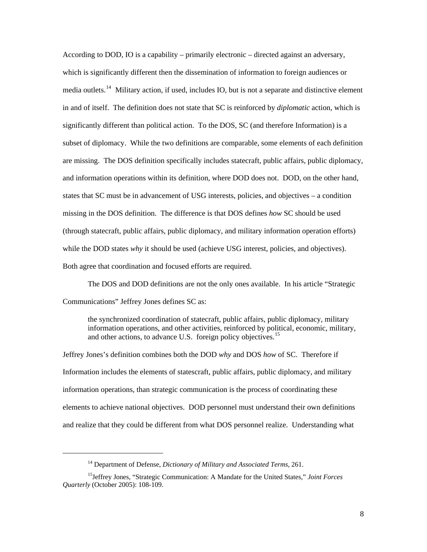According to DOD, IO is a capability – primarily electronic – directed against an adversary, which is significantly different then the dissemination of information to foreign audiences or media outlets.<sup>[14](#page-12-0)</sup> Military action, if used, includes IO, but is not a separate and distinctive element in and of itself. The definition does not state that SC is reinforced by *diplomatic* action, which is significantly different than political action. To the DOS, SC (and therefore Information) is a subset of diplomacy. While the two definitions are comparable, some elements of each definition are missing. The DOS definition specifically includes statecraft, public affairs, public diplomacy, and information operations within its definition, where DOD does not. DOD, on the other hand, states that SC must be in advancement of USG interests, policies, and objectives – a condition missing in the DOS definition. The difference is that DOS defines *how* SC should be used (through statecraft, public affairs, public diplomacy, and military information operation efforts) while the DOD states *why* it should be used (achieve USG interest, policies, and objectives). Both agree that coordination and focused efforts are required.

 The DOS and DOD definitions are not the only ones available. In his article "Strategic Communications" Jeffrey Jones defines SC as:

the synchronized coordination of statecraft, public affairs, public diplomacy, military information operations, and other activities, reinforced by political, economic, military, and other actions, to advance U.S. foreign policy objectives.<sup>[15](#page-12-1)</sup>

Jeffrey Jones's definition combines both the DOD *why* and DOS *how* of SC. Therefore if Information includes the elements of statescraft, public affairs, public diplomacy, and military information operations, than strategic communication is the process of coordinating these elements to achieve national objectives. DOD personnel must understand their own definitions and realize that they could be different from what DOS personnel realize. Understanding what

<sup>14</sup> Department of Defense, *Dictionary of Military and Associated Terms*, 261.

<span id="page-12-1"></span><span id="page-12-0"></span><sup>15</sup>Jeffrey Jones, "Strategic Communication: A Mandate for the United States," *Joint Forces Quarterly* (October 2005): 108-109.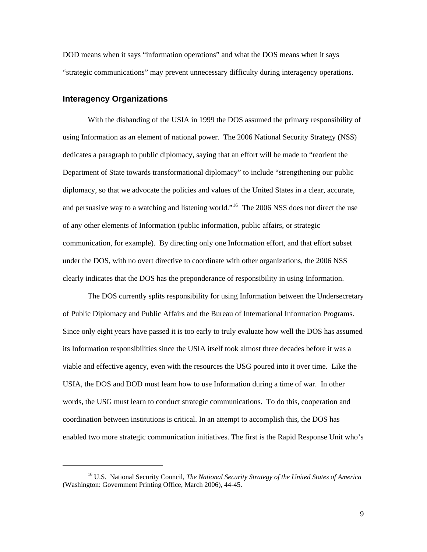<span id="page-13-0"></span>DOD means when it says "information operations" and what the DOS means when it says "strategic communications" may prevent unnecessary difficulty during interagency operations.

#### **Interagency Organizations**

 $\overline{a}$ 

 With the disbanding of the USIA in 1999 the DOS assumed the primary responsibility of using Information as an element of national power. The 2006 National Security Strategy (NSS) dedicates a paragraph to public diplomacy, saying that an effort will be made to "reorient the Department of State towards transformational diplomacy" to include "strengthening our public diplomacy, so that we advocate the policies and values of the United States in a clear, accurate, and persuasive way to a watching and listening world."<sup>[16](#page-13-1)</sup> The 2006 NSS does not direct the use of any other elements of Information (public information, public affairs, or strategic communication, for example). By directing only one Information effort, and that effort subset under the DOS, with no overt directive to coordinate with other organizations, the 2006 NSS clearly indicates that the DOS has the preponderance of responsibility in using Information.

 The DOS currently splits responsibility for using Information between the Undersecretary of Public Diplomacy and Public Affairs and the Bureau of International Information Programs. Since only eight years have passed it is too early to truly evaluate how well the DOS has assumed its Information responsibilities since the USIA itself took almost three decades before it was a viable and effective agency, even with the resources the USG poured into it over time. Like the USIA, the DOS and DOD must learn how to use Information during a time of war. In other words, the USG must learn to conduct strategic communications. To do this, cooperation and coordination between institutions is critical. In an attempt to accomplish this, the DOS has enabled two more strategic communication initiatives. The first is the Rapid Response Unit who's

<span id="page-13-1"></span><sup>&</sup>lt;sup>16</sup> U.S. National Security Council, *The National Security Strategy of the United States of America* (Washington: Government Printing Office, March 2006), 44-45.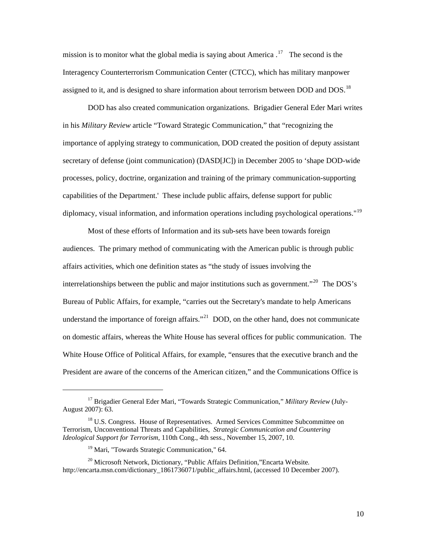mission is to monitor what the global media is saying about America.<sup>[17](#page-14-0)</sup> The second is the Interagency Counterterrorism Communication Center (CTCC), which has military manpower assigned to it, and is designed to share information about terrorism between DOD and DOS.<sup>[18](#page-14-1)</sup>

 DOD has also created communication organizations. Brigadier General Eder Mari writes in his *Military Review* article "Toward Strategic Communication," that "recognizing the importance of applying strategy to communication, DOD created the position of deputy assistant secretary of defense (joint communication) (DASD[JC]) in December 2005 to 'shape DOD-wide processes, policy, doctrine, organization and training of the primary communication-supporting capabilities of the Department.' These include public affairs, defense support for public diplomacy, visual information, and information operations including psychological operations."<sup>[19](#page-14-2)</sup>

Most of these efforts of Information and its sub-sets have been towards foreign audiences. The primary method of communicating with the American public is through public affairs activities, which one definition states as "the study of issues involving the interrelationships between the public and major institutions such as government."<sup>[20](#page-14-3)</sup> The DOS's Bureau of Public Affairs, for example, "carries out the Secretary's mandate to help Americans understand the importance of foreign affairs."<sup>[21](#page-14-0)</sup> DOD, on the other hand, does not communicate on domestic affairs, whereas the White House has several offices for public communication. The White House Office of Political Affairs, for example, "ensures that the executive branch and the President are aware of the concerns of the American citizen," and the Communications Office is

<span id="page-14-0"></span><sup>17</sup> Brigadier General Eder Mari, "Towards Strategic Communication," *Military Review* (July-August 2007): 63.

<span id="page-14-1"></span><sup>&</sup>lt;sup>18</sup> U.S. Congress. House of Representatives. Armed Services Committee Subcommittee on Terrorism, Unconventional Threats and Capabilities, *Strategic Communication and Countering Ideological Support for Terrorism*, 110th Cong., 4th sess., November 15, 2007, 10.

<sup>&</sup>lt;sup>19</sup> Mari, "Towards Strategic Communication," 64.

<span id="page-14-3"></span><span id="page-14-2"></span><sup>20</sup> Microsoft Network, Dictionary, "Public Affairs Definition,"Encarta Website*.*  http://encarta.msn.com/dictionary 1861736071/public affairs.html, (accessed 10 December 2007).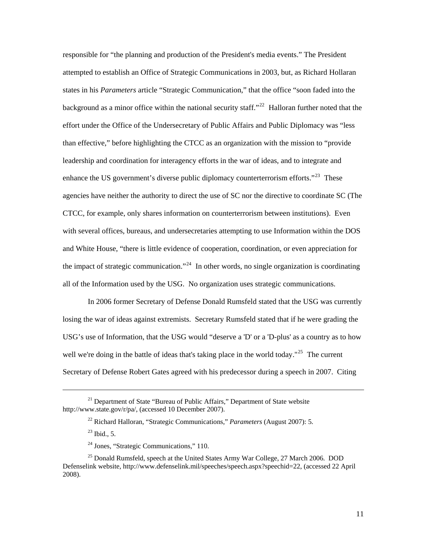responsible for "the planning and production of the President's media events." The President attempted to establish an Office of Strategic Communications in 2003, but, as Richard Hollaran states in his *Parameters* article "Strategic Communication," that the office "soon faded into the background as a minor office within the national security staff."<sup>[22](#page-15-0)</sup> Halloran further noted that the effort under the Office of the Undersecretary of Public Affairs and Public Diplomacy was "less than effective," before highlighting the CTCC as an organization with the mission to "provide leadership and coordination for interagency efforts in the war of ideas, and to integrate and enhance the US government's diverse public diplomacy counterterrorism efforts.<sup> $23$ </sup> These agencies have neither the authority to direct the use of SC nor the directive to coordinate SC (The CTCC, for example, only shares information on counterterrorism between institutions). Even with several offices, bureaus, and undersecretaries attempting to use Information within the DOS and White House, "there is little evidence of cooperation, coordination, or even appreciation for the impact of strategic communication."<sup>[24](#page-15-2)</sup> In other words, no single organization is coordinating all of the Information used by the USG. No organization uses strategic communications.

In 2006 former Secretary of Defense Donald Rumsfeld stated that the USG was currently losing the war of ideas against extremists. Secretary Rumsfeld stated that if he were grading the USG's use of Information, that the USG would "deserve a 'D' or a 'D-plus' as a country as to how well we're doing in the battle of ideas that's taking place in the world today."<sup>[25](#page-15-3)</sup> The current Secretary of Defense Robert Gates agreed with his predecessor during a speech in 2007. Citing

<span id="page-15-0"></span><sup>&</sup>lt;sup>21</sup> Department of State "Bureau of Public Affairs," Department of State website http://www.state.gov/r/pa/, (accessed 10 December 2007).

<sup>22</sup> Richard Halloran, "Strategic Communications," *Parameters* (August 2007): 5.

 $^{23}$  Ibid., 5.

<sup>24</sup> Jones, "Strategic Communications," 110.

<span id="page-15-3"></span><span id="page-15-2"></span><span id="page-15-1"></span> $^{25}$  Donald Rumsfeld, speech at the United States Army War College, 27 March 2006. DOD Defenselink website, http://www.defenselink.mil/speeches/speech.aspx?speechid=22, (accessed 22 April 2008).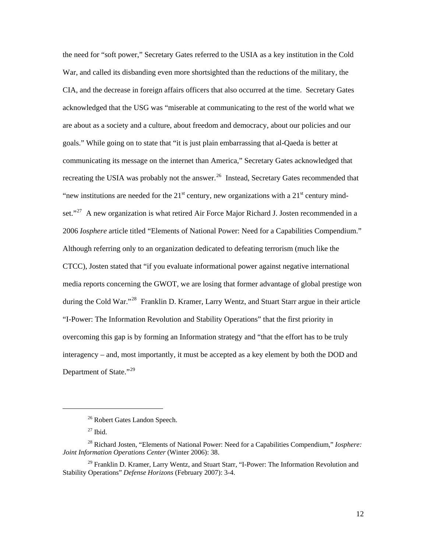the need for "soft power," Secretary Gates referred to the USIA as a key institution in the Cold War, and called its disbanding even more shortsighted than the reductions of the military, the CIA, and the decrease in foreign affairs officers that also occurred at the time. Secretary Gates acknowledged that the USG was "miserable at communicating to the rest of the world what we are about as a society and a culture, about freedom and democracy, about our policies and our goals." While going on to state that "it is just plain embarrassing that al-Qaeda is better at communicating its message on the internet than America," Secretary Gates acknowledged that recreating the USIA was probably not the answer.<sup>[26](#page-16-0)</sup> Instead, Secretary Gates recommended that "new institutions are needed for the  $21<sup>st</sup>$  century, new organizations with a  $21<sup>st</sup>$  century mind-set."<sup>[27](#page-16-1)</sup> A new organization is what retired Air Force Major Richard J. Josten recommended in a 2006 *Iosphere* article titled "Elements of National Power: Need for a Capabilities Compendium." Although referring only to an organization dedicated to defeating terrorism (much like the CTCC), Josten stated that "if you evaluate informational power against negative international media reports concerning the GWOT, we are losing that former advantage of global prestige won during the Cold War."<sup>[28](#page-16-2)</sup> Franklin D. Kramer, Larry Wentz, and Stuart Starr argue in their article "I-Power: The Information Revolution and Stability Operations" that the first priority in overcoming this gap is by forming an Information strategy and "that the effort has to be truly interagency – and, most importantly, it must be accepted as a key element by both the DOD and Department of State."<sup>[29](#page-16-3)</sup>

<sup>&</sup>lt;sup>26</sup> Robert Gates Landon Speech.

 $27$  Ibid.

<span id="page-16-2"></span><span id="page-16-1"></span><span id="page-16-0"></span><sup>28</sup> Richard Josten, "Elements of National Power: Need for a Capabilities Compendium," *Iosphere: Joint Information Operations Center* (Winter 2006): 38.

<span id="page-16-3"></span> $29$  Franklin D. Kramer, Larry Wentz, and Stuart Starr, "I-Power: The Information Revolution and Stability Operations" *Defense Horizons* (February 2007): 3-4.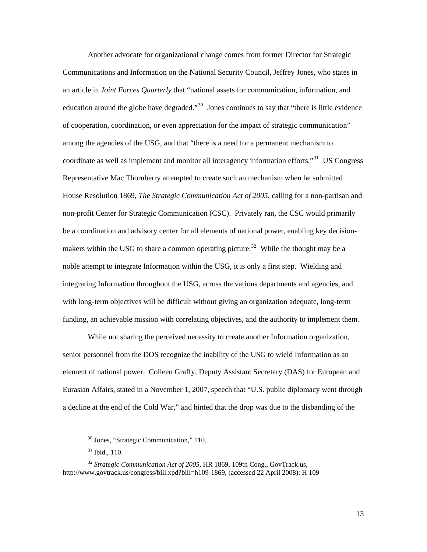Another advocate for organizational change comes from former Director for Strategic Communications and Information on the National Security Council, Jeffrey Jones, who states in an article in *Joint Forces Quarterly* that "national assets for communication, information, and education around the globe have degraded."<sup>[30](#page-17-0)</sup> Jones continues to say that "there is little evidence" of cooperation, coordination, or even appreciation for the impact of strategic communication" among the agencies of the USG, and that "there is a need for a permanent mechanism to coordinate as well as implement and monitor all interagency information efforts."[31](#page-17-1) US Congress Representative Mac Thornberry attempted to create such an mechanism when he submitted House Resolution 1869, *The Strategic Communication Act of 2005*, calling for a non-partisan and non-profit Center for Strategic Communication (CSC). Privately ran, the CSC would primarily be a coordination and advisory center for all elements of national power, enabling key decision-makers within the USG to share a common operating picture.<sup>[32](#page-17-2)</sup> While the thought may be a noble attempt to integrate Information within the USG, it is only a first step. Wielding and integrating Information throughout the USG, across the various departments and agencies, and with long-term objectives will be difficult without giving an organization adequate, long-term funding, an achievable mission with correlating objectives, and the authority to implement them.

 While not sharing the perceived necessity to create another Information organization, senior personnel from the DOS recognize the inability of the USG to wield Information as an element of national power. Colleen Graffy, Deputy Assistant Secretary (DAS) for European and Eurasian Affairs, stated in a November 1, 2007, speech that "U.S. public diplomacy went through a decline at the end of the Cold War," and hinted that the drop was due to the disbanding of the

<sup>30</sup> Jones, "Strategic Communication," 110.

 $31$  Ibid., 110.

<span id="page-17-2"></span><span id="page-17-1"></span><span id="page-17-0"></span><sup>&</sup>lt;sup>32</sup> *Strategic Communication Act of 2005*, HR 1869, 109th Cong., GovTrack.us, http://www.govtrack.us/congress/bill.xpd?bill=h109-1869, (accessed 22 April 2008): H 109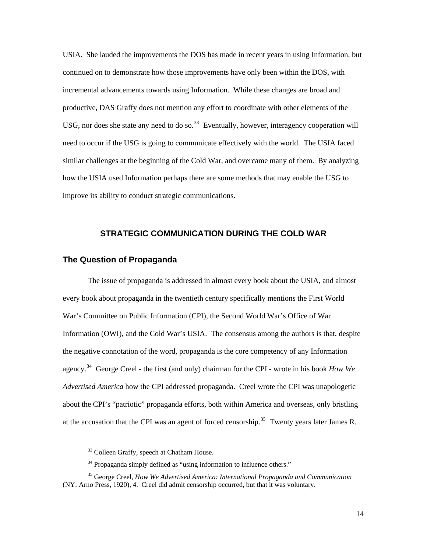<span id="page-18-0"></span>USIA. She lauded the improvements the DOS has made in recent years in using Information, but continued on to demonstrate how those improvements have only been within the DOS, with incremental advancements towards using Information. While these changes are broad and productive, DAS Graffy does not mention any effort to coordinate with other elements of the USG, nor does she state any need to do so.<sup>[33](#page-18-1)</sup> Eventually, however, interagency cooperation will need to occur if the USG is going to communicate effectively with the world. The USIA faced similar challenges at the beginning of the Cold War, and overcame many of them. By analyzing how the USIA used Information perhaps there are some methods that may enable the USG to improve its ability to conduct strategic communications.

## **STRATEGIC COMMUNICATION DURING THE COLD WAR**

## **The Question of Propaganda**

 The issue of propaganda is addressed in almost every book about the USIA, and almost every book about propaganda in the twentieth century specifically mentions the First World War's Committee on Public Information (CPI), the Second World War's Office of War Information (OWI), and the Cold War's USIA. The consensus among the authors is that, despite the negative connotation of the word, propaganda is the core competency of any Information agency.[34](#page-18-2) George Creel - the first (and only) chairman for the CPI - wrote in his book *How We Advertised America* how the CPI addressed propaganda. Creel wrote the CPI was unapologetic about the CPI's "patriotic" propaganda efforts, both within America and overseas, only bristling at the accusation that the CPI was an agent of forced censorship.<sup>[35](#page-18-3)</sup> Twenty years later James R.

<sup>&</sup>lt;sup>33</sup> Colleen Graffy, speech at Chatham House.

<sup>&</sup>lt;sup>34</sup> Propaganda simply defined as "using information to influence others."

<span id="page-18-3"></span><span id="page-18-2"></span><span id="page-18-1"></span><sup>35</sup> George Creel, *How We Advertised America: International Propaganda and Communication* (NY: Arno Press, 1920), 4. Creel did admit censorship occurred, but that it was voluntary.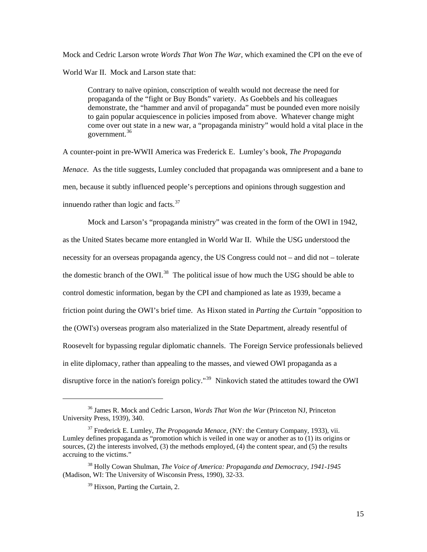Mock and Cedric Larson wrote *Words That Won The War*, which examined the CPI on the eve of World War II. Mock and Larson state that:

Contrary to naïve opinion, conscription of wealth would not decrease the need for propaganda of the "fight or Buy Bonds" variety. As Goebbels and his colleagues demonstrate, the "hammer and anvil of propaganda" must be pounded even more noisily to gain popular acquiescence in policies imposed from above. Whatever change might come over out state in a new war, a "propaganda ministry" would hold a vital place in the government.<sup>[36](#page-19-0)</sup>

A counter-point in pre-WWII America was Frederick E. Lumley's book, *The Propaganda Menace*. As the title suggests, Lumley concluded that propaganda was omnipresent and a bane to men, because it subtly influenced people's perceptions and opinions through suggestion and innuendo rather than logic and facts.<sup>[37](#page-19-1)</sup>

 Mock and Larson's "propaganda ministry" was created in the form of the OWI in 1942, as the United States became more entangled in World War II. While the USG understood the necessity for an overseas propaganda agency, the US Congress could not – and did not – tolerate the domestic branch of the OWI.<sup>[38](#page-19-2)</sup> The political issue of how much the USG should be able to control domestic information, began by the CPI and championed as late as 1939, became a friction point during the OWI's brief time. As Hixon stated in *Parting the Curtain* "opposition to the (OWI's) overseas program also materialized in the State Department, already resentful of Roosevelt for bypassing regular diplomatic channels. The Foreign Service professionals believed in elite diplomacy, rather than appealing to the masses, and viewed OWI propaganda as a disruptive force in the nation's foreign policy."<sup>[39](#page-19-3)</sup> Ninkovich stated the attitudes toward the OWI

<span id="page-19-0"></span><sup>36</sup> James R. Mock and Cedric Larson, *Words That Won the War* (Princeton NJ, Princeton University Press, 1939), 340.

<span id="page-19-1"></span><sup>37</sup> Frederick E. Lumley, *The Propaganda Menace*, (NY: the Century Company, 1933), vii. Lumley defines propaganda as "promotion which is veiled in one way or another as to (1) its origins or sources, (2) the interests involved, (3) the methods employed, (4) the content spear, and (5) the results accruing to the victims."

<span id="page-19-3"></span><span id="page-19-2"></span><sup>38</sup> Holly Cowan Shulman, *The Voice of America: Propaganda and Democracy, 1941-1945* (Madison, WI: The University of Wisconsin Press, 1990), 32-33.

<sup>39</sup> Hixson, Parting the Curtain, 2.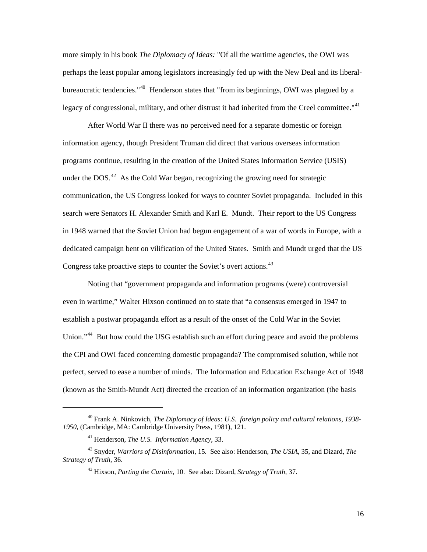more simply in his book *The Diplomacy of Ideas:* "Of all the wartime agencies, the OWI was perhaps the least popular among legislators increasingly fed up with the New Deal and its liberal-bureaucratic tendencies."<sup>[40](#page-20-0)</sup> Henderson states that "from its beginnings, OWI was plagued by a legacy of congressional, military, and other distrust it had inherited from the Creel committee."<sup>[41](#page-20-1)</sup>

 After World War II there was no perceived need for a separate domestic or foreign information agency, though President Truman did direct that various overseas information programs continue, resulting in the creation of the United States Information Service (USIS) under the DOS.<sup>[42](#page-20-2)</sup> As the Cold War began, recognizing the growing need for strategic communication, the US Congress looked for ways to counter Soviet propaganda. Included in this search were Senators H. Alexander Smith and Karl E. Mundt. Their report to the US Congress in 1948 warned that the Soviet Union had begun engagement of a war of words in Europe, with a dedicated campaign bent on vilification of the United States. Smith and Mundt urged that the US Congress take proactive steps to counter the Soviet's overt actions.<sup>[43](#page-20-3)</sup>

 Noting that "government propaganda and information programs (were) controversial even in wartime," Walter Hixson continued on to state that "a consensus emerged in 1947 to establish a postwar propaganda effort as a result of the onset of the Cold War in the Soviet Union."<sup>[44](#page-20-4)</sup> But how could the USG establish such an effort during peace and avoid the problems the CPI and OWI faced concerning domestic propaganda? The compromised solution, while not perfect, served to ease a number of minds. The Information and Education Exchange Act of 1948 (known as the Smith-Mundt Act) directed the creation of an information organization (the basis

l

<span id="page-20-0"></span><sup>40</sup> Frank A. Ninkovich, *The Diplomacy of Ideas: U.S. foreign policy and cultural relations, 1938- 1950*, (Cambridge, MA: Cambridge University Press, 1981), 121.

<sup>41</sup> Henderson, *The U.S. Information Agency*, 33.

<span id="page-20-4"></span><span id="page-20-3"></span><span id="page-20-2"></span><span id="page-20-1"></span><sup>42</sup> Snyder, *Warriors of Disinformation*, 15. See also: Henderson, *The USIA*, 35, and Dizard, *The Strategy of Truth*, 36.

<sup>43</sup> Hixson, *Parting the Curtain*, 10. See also: Dizard, *Strategy of Truth*, 37.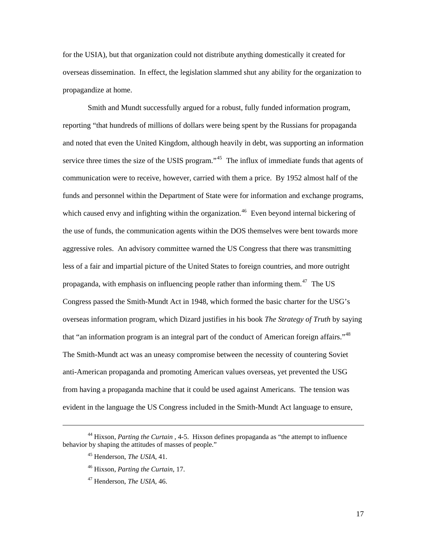for the USIA), but that organization could not distribute anything domestically it created for overseas dissemination. In effect, the legislation slammed shut any ability for the organization to propagandize at home.

 Smith and Mundt successfully argued for a robust, fully funded information program, reporting "that hundreds of millions of dollars were being spent by the Russians for propaganda and noted that even the United Kingdom, although heavily in debt, was supporting an information service three times the size of the USIS program."<sup>[45](#page-21-0)</sup> The influx of immediate funds that agents of communication were to receive, however, carried with them a price. By 1952 almost half of the funds and personnel within the Department of State were for information and exchange programs, which caused envy and infighting within the organization.<sup>[46](#page-21-1)</sup> Even beyond internal bickering of the use of funds, the communication agents within the DOS themselves were bent towards more aggressive roles. An advisory committee warned the US Congress that there was transmitting less of a fair and impartial picture of the United States to foreign countries, and more outright propaganda, with emphasis on influencing people rather than informing them.[47](#page-21-2) The US Congress passed the Smith-Mundt Act in 1948, which formed the basic charter for the USG's overseas information program, which Dizard justifies in his book *The Strategy of Truth* by saying that "an information program is an integral part of the conduct of American foreign affairs."<sup>[48](#page-21-3)</sup> The Smith-Mundt act was an uneasy compromise between the necessity of countering Soviet anti-American propaganda and promoting American values overseas, yet prevented the USG from having a propaganda machine that it could be used against Americans. The tension was evident in the language the US Congress included in the Smith-Mundt Act language to ensure,

<span id="page-21-3"></span><span id="page-21-2"></span><span id="page-21-1"></span><span id="page-21-0"></span><sup>44</sup> Hixson, *Parting the Curtain* , 4-5. Hixson defines propaganda as "the attempt to influence behavior by shaping the attitudes of masses of people."

<sup>45</sup> Henderson, *The USIA*, 41.

<sup>46</sup> Hixson, *Parting the Curtain*, 17.

<sup>47</sup> Henderson, *The USIA,* 46.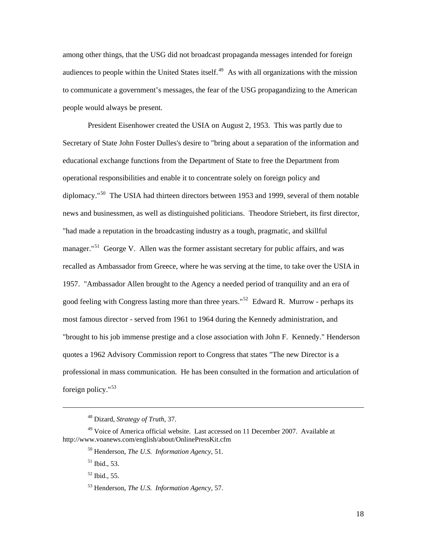among other things, that the USG did not broadcast propaganda messages intended for foreign audiences to people within the United States itself.<sup>[49](#page-22-0)</sup> As with all organizations with the mission to communicate a government's messages, the fear of the USG propagandizing to the American people would always be present.

 President Eisenhower created the USIA on August 2, 1953. This was partly due to Secretary of State John Foster Dulles's desire to "bring about a separation of the information and educational exchange functions from the Department of State to free the Department from operational responsibilities and enable it to concentrate solely on foreign policy and diplomacy."<sup>[50](#page-22-1)</sup> The USIA had thirteen directors between 1953 and 1999, several of them notable news and businessmen, as well as distinguished politicians. Theodore Striebert, its first director, "had made a reputation in the broadcasting industry as a tough, pragmatic, and skillful manager."<sup>[51](#page-22-2)</sup> George V. Allen was the former assistant secretary for public affairs, and was recalled as Ambassador from Greece, where he was serving at the time, to take over the USIA in 1957. "Ambassador Allen brought to the Agency a needed period of tranquility and an era of good feeling with Congress lasting more than three years."<sup>[52](#page-22-3)</sup> Edward R. Murrow - perhaps its most famous director - served from 1961 to 1964 during the Kennedy administration, and "brought to his job immense prestige and a close association with John F. Kennedy." Henderson quotes a 1962 Advisory Commission report to Congress that states "The new Director is a professional in mass communication. He has been consulted in the formation and articulation of foreign policy."[53](#page-22-4)

l

<sup>48</sup> Dizard, *Strategy of Truth*, 37.

<span id="page-22-4"></span><span id="page-22-3"></span><span id="page-22-2"></span><span id="page-22-1"></span><span id="page-22-0"></span><sup>49</sup> Voice of America official website. Last accessed on 11 December 2007. Available at http://www.voanews.com/english/about/OnlinePressKit.cfm

<sup>50</sup> Henderson, *The U.S. Information Agency*, 51.

<sup>51</sup> Ibid., 53.

<sup>52</sup> Ibid., 55.

<sup>53</sup> Henderson, *The U.S. Information Agency*, 57.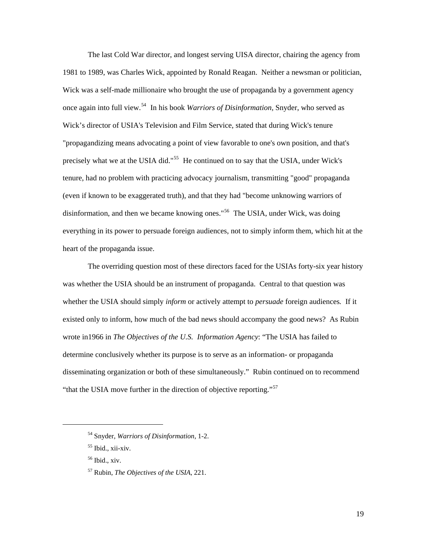The last Cold War director, and longest serving UISA director, chairing the agency from 1981 to 1989, was Charles Wick, appointed by Ronald Reagan. Neither a newsman or politician, Wick was a self-made millionaire who brought the use of propaganda by a government agency once again into full view.<sup>[54](#page-23-0)</sup> In his book *Warriors of Disinformation*, Snyder, who served as Wick's director of USIA's Television and Film Service, stated that during Wick's tenure "propagandizing means advocating a point of view favorable to one's own position, and that's precisely what we at the USIA did."<sup>[55](#page-23-1)</sup> He continued on to say that the USIA, under Wick's tenure, had no problem with practicing advocacy journalism, transmitting "good" propaganda (even if known to be exaggerated truth), and that they had "become unknowing warriors of disinformation, and then we became knowing ones."<sup>[56](#page-23-2)</sup> The USIA, under Wick, was doing everything in its power to persuade foreign audiences, not to simply inform them, which hit at the heart of the propaganda issue.

 The overriding question most of these directors faced for the USIAs forty-six year history was whether the USIA should be an instrument of propaganda. Central to that question was whether the USIA should simply *inform* or actively attempt to *persuade* foreign audiences*.* If it existed only to inform, how much of the bad news should accompany the good news? As Rubin wrote in1966 in *The Objectives of the U.S. Information Agency*: "The USIA has failed to determine conclusively whether its purpose is to serve as an information- or propaganda disseminating organization or both of these simultaneously." Rubin continued on to recommend "that the USIA move further in the direction of objective reporting."<sup>[57](#page-23-3)</sup>

<span id="page-23-0"></span><sup>54</sup> Snyder, *Warriors of Disinformation*, 1-2.

<span id="page-23-2"></span><span id="page-23-1"></span><sup>55</sup> Ibid., xii-xiv.

 $56$  Ibid., xiv.

<span id="page-23-3"></span><sup>57</sup> Rubin, *The Objectives of the USIA*, 221.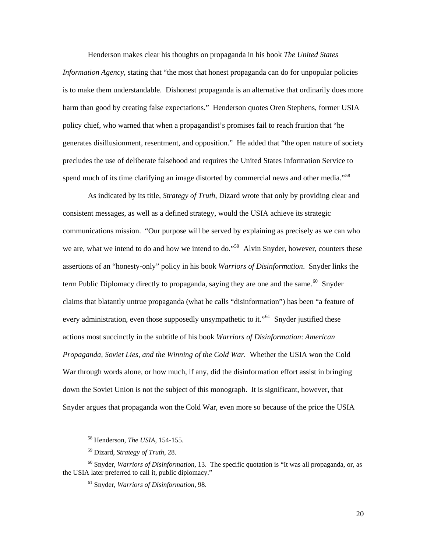Henderson makes clear his thoughts on propaganda in his book *The United States Information Agency*, stating that "the most that honest propaganda can do for unpopular policies is to make them understandable. Dishonest propaganda is an alternative that ordinarily does more harm than good by creating false expectations." Henderson quotes Oren Stephens, former USIA policy chief, who warned that when a propagandist's promises fail to reach fruition that "he generates disillusionment, resentment, and opposition." He added that "the open nature of society precludes the use of deliberate falsehood and requires the United States Information Service to spend much of its time clarifying an image distorted by commercial news and other media."<sup>[58](#page-24-0)</sup>

 As indicated by its title, *Strategy of Truth*, Dizard wrote that only by providing clear and consistent messages, as well as a defined strategy, would the USIA achieve its strategic communications mission. "Our purpose will be served by explaining as precisely as we can who we are, what we intend to do and how we intend to do."<sup>[59](#page-24-1)</sup> Alvin Snyder, however, counters these assertions of an "honesty-only" policy in his book *Warriors of Disinformation*. Snyder links the term Public Diplomacy directly to propaganda, saying they are one and the same.<sup>[60](#page-24-2)</sup> Snyder claims that blatantly untrue propaganda (what he calls "disinformation") has been "a feature of every administration, even those supposedly unsympathetic to it."<sup>[61](#page-24-3)</sup> Snyder justified these actions most succinctly in the subtitle of his book *Warriors of Disinformation*: *American Propaganda, Soviet Lies, and the Winning of the Cold War.* Whether the USIA won the Cold War through words alone, or how much, if any, did the disinformation effort assist in bringing down the Soviet Union is not the subject of this monograph. It is significant, however, that Snyder argues that propaganda won the Cold War, even more so because of the price the USIA

<sup>58</sup> Henderson, *The USIA*, 154-155.

<sup>59</sup> Dizard, *Strategy of Truth*, 28.

<span id="page-24-3"></span><span id="page-24-2"></span><span id="page-24-1"></span><span id="page-24-0"></span><sup>60</sup> Snyder, *Warriors of Disinformation,* 13. The specific quotation is "It was all propaganda, or, as the USIA later preferred to call it, public diplomacy."

<sup>61</sup> Snyder, *Warriors of Disinformation*, 98.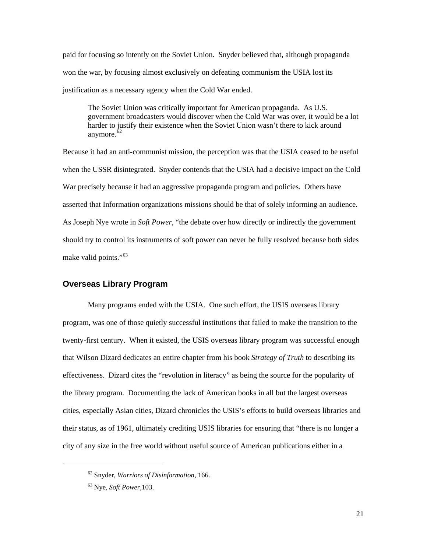<span id="page-25-0"></span>paid for focusing so intently on the Soviet Union. Snyder believed that, although propagan da won the war, by focusing almost exclusively on defeating communism the USIA lost its justification as a necessary agency when the C old War ended.

The Soviet Union was critically important for American propaganda. As U.S. government broadcasters would discover when the Cold War was over, it would be a lot harder to justify their existence when the Soviet Union wasn't there to kick around anymore. $62$ 

Because it had an anti-communist mission, the perception was that the USIA ceased to be useful when the USSR disintegrated. Snyder contends that the USIA had a decisive impact on the Cold War precisely because it had an aggressive propaganda program and policies. Others have asserted that Information organizations missions should be that of solely informing an audience. As Joseph Nye wrote in *Soft Power,* "the debate over how directly or indirectly the government should try to control its instruments of soft power can never be fully resolved because both sides make valid points."<sup>[63](#page-25-2)</sup>

## **Overseas Library Program**

 Many programs ended with the USIA. One such effort, the USIS overseas library program, was one of those quietly successful institutions that failed to make the transition to the twenty-first century. When it existed, the USIS overseas library program was successful enough that Wilson Dizard dedicates an entire chapter from his book *Strategy of Truth* to describing its effectiveness. Dizard cites the "revolution in literacy" as being the source for the popularity of the library program. Documenting the lack of American books in all but the largest overseas cities, especially Asian cities, Dizard chronicles the USIS's efforts to build overseas libraries and their status, as of 1961, ultimately crediting USIS libraries for ensuring that "there is no longer a city of any size in the free world without useful source of American publications either in a

<span id="page-25-1"></span><sup>62</sup> Snyder, *Warriors of Disinformation*, 166.

<span id="page-25-2"></span><sup>63</sup> Nye, *Soft Power,*103.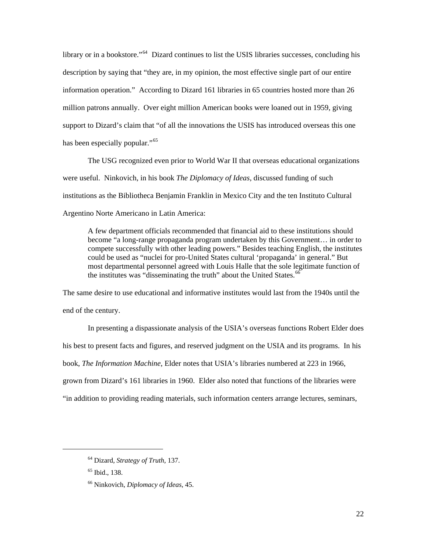library or in a bookstore."<sup>[64](#page-26-0)</sup> Dizard continues to list the USIS libraries successes, concluding his description by saying that "they are, in my opinion, the most effective single part of our entire information operation." According to Dizard 161 libraries in 65 countries hosted more than 26 million patrons annually. Over eight million American books were loaned out in 1959, giving support to Dizard's claim that "of all the innovations the USIS has introduced overseas this one has been especially popular."<sup>[65](#page-26-1)</sup>

 The USG recognized even prior to World War II that overseas educational organizations were useful. Ninkovich, in his book *The Diplomacy of Ideas,* discussed funding of such institutions as the Bibliotheca Benjamin Franklin in Mexico City and the ten Instituto Cultural Argentino Norte Americano in Latin America:

A few department officials recommended that financial aid to these institutions should become "a long-range propaganda program undertaken by this Government… in order to compete successfully with other leading powers." Besides teaching English, the institutes could be used as "nuclei for pro-United States cultural 'propaganda' in general." But most departmental personnel agreed with Louis Halle that the sole legitimate function of the institutes was "disseminating the truth" about the United States.<sup>[66](#page-26-2)</sup>

The same desire to use educational and informative institutes would last from the 1940s until the end of the century.

 In presenting a dispassionate analysis of the USIA's overseas functions Robert Elder does his best to present facts and figures, and reserved judgment on the USIA and its programs. In his book, *The Information Machine*, Elder notes that USIA's libraries numbered at 223 in 1966, grown from Dizard's 161 libraries in 1960. Elder also noted that functions of the libraries were "in addition to providing reading materials, such information centers arrange lectures, seminars,

<span id="page-26-0"></span><sup>64</sup> Dizard, *Strategy of Truth*, 137.

<span id="page-26-1"></span><sup>65</sup> Ibid., 138.

<span id="page-26-2"></span><sup>66</sup> Ninkovich, *Diplomacy of Ideas*, 45.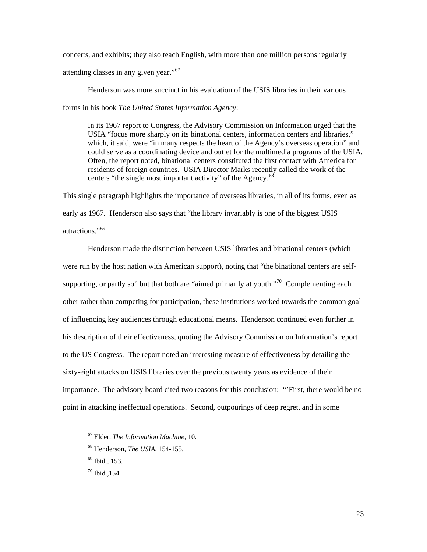concerts, and exhibits; they also teach English, with more than one million persons regularly attending classes in any given year."<sup>[67](#page-27-0)</sup>

 Henderson was more succinct in his evaluation of the USIS libraries in their various forms in his book *The United States Information Agency*:

In its 1967 report to Congress, the Advisory Commission on Information urged that the USIA "focus more sharply on its binational centers, information centers and libraries," which, it said, were "in many respects the heart of the Agency's overseas operation" and could serve as a coordinating device and outlet for the multimedia programs of the USIA. Often, the report noted, binational centers constituted the first contact with America for residents of foreign countries. USIA Director Marks recently called the work of the centers "the single most important activity" of the Agency.<sup>[68](#page-27-1)</sup>

This single paragraph highlights the importance of overseas libraries, in all of its forms, even as early as 1967. Henderson also says that "the library invariably is one of the biggest USIS attractions."[69](#page-27-2)

 Henderson made the distinction between USIS libraries and binational centers (which were run by the host nation with American support), noting that "the binational centers are self-supporting, or partly so" but that both are "aimed primarily at youth."<sup>[70](#page-27-3)</sup> Complementing each other rather than competing for participation, these institutions worked towards the common goal of influencing key audiences through educational means. Henderson continued even further in his description of their effectiveness, quoting the Advisory Commission on Information's report to the US Congress. The report noted an interesting measure of effectiveness by detailing the sixty-eight attacks on USIS libraries over the previous twenty years as evidence of their importance. The advisory board cited two reasons for this conclusion: "'First, there would be no point in attacking ineffectual operations. Second, outpourings of deep regret, and in some

<span id="page-27-0"></span><sup>67</sup> Elder, *The Information Machine*, 10.

<span id="page-27-1"></span><sup>68</sup> Henderson, *The USIA*, 154-155.

<span id="page-27-2"></span><sup>69</sup> Ibid., 153.

<span id="page-27-3"></span> $70$  Ibid.,  $154$ .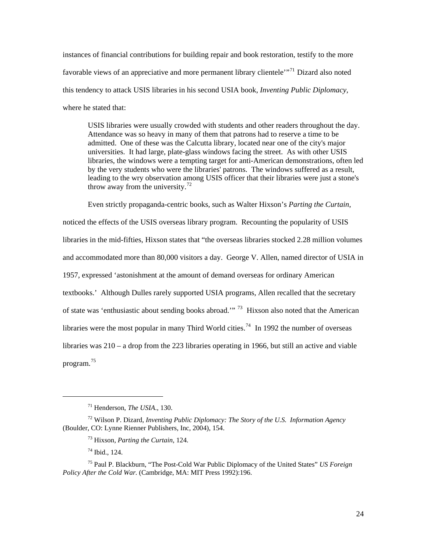instances of financial contributions for building repair and book restoration, testify to the more favorable views of an appreciative and more permanent library clientele<sup>"[71](#page-28-0)</sup> Dizard also noted this tendency to attack USIS libraries in his second USIA book, *Inventing Public Diplomacy,*  where he stated that:

USIS libraries were usually crowded with students and other readers throughout the day. Attendance was so heavy in many of them that patrons had to reserve a time to be admitted. One of these was the Calcutta library, located near one of the city's major universities. It had large, plate-glass windows facing the street. As with other USIS libraries, the windows were a tempting target for anti-American demonstrations, often led by the very students who were the libraries' patrons. The windows suffered as a result, leading to the wry observation among USIS officer that their libraries were just a stone's throw away from the university.<sup>[72](#page-28-1)</sup>

 Even strictly propaganda-centric books, such as Walter Hixson's *Parting the Curtain*, noticed the effects of the USIS overseas library program. Recounting the popularity of USIS libraries in the mid-fifties, Hixson states that "the overseas libraries stocked 2.28 million volumes and accommodated more than 80,000 visitors a day. George V. Allen, named director of USIA in 1957, expressed 'astonishment at the amount of demand overseas for ordinary American textbooks.' Although Dulles rarely supported USIA programs, Allen recalled that the secretary of state was 'enthusiastic about sending books abroad."<sup>[73](#page-28-2)</sup> Hixson also noted that the American libraries were the most popular in many Third World cities.<sup>[74](#page-28-3)</sup> In 1992 the number of overseas libraries was 210 – a drop from the 223 libraries operating in 1966, but still an active and viable program.[75](#page-28-4)

<sup>71</sup> Henderson, *The USIA*.*,* 130.

<span id="page-28-2"></span><span id="page-28-1"></span><span id="page-28-0"></span><sup>72</sup> Wilson P. Dizard, *Inventing Public Diplomacy: The Story of the U.S. Information Agency*  (Boulder, CO: Lynne Rienner Publishers, Inc, 2004), 154.

<sup>73</sup> Hixson, *Parting the Curtain*, 124.

<sup>74</sup> Ibid., 124.

<span id="page-28-4"></span><span id="page-28-3"></span><sup>75</sup> Paul P. Blackburn, "The Post-Cold War Public Diplomacy of the United States" *US Foreign Policy After the Cold War.* (Cambridge, MA: MIT Press 1992):196.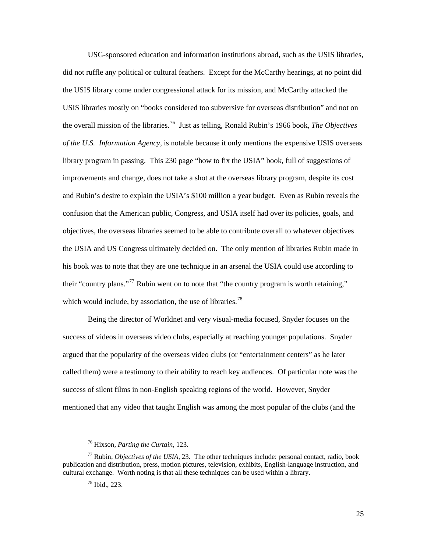USG-sponsored education and information institutions abroad, such as the USIS libraries, did not ruffle any political or cultural feathers. Except for the McCarthy hearings, at no point did the USIS library come under congressional attack for its mission, and McCarthy attacked the USIS libraries mostly on "books considered too subversive for overseas distribution" and not on the overall mission of the libraries.[76](#page-29-0) Just as telling, Ronald Rubin's 1966 book, *The Objectives of the U.S. Information Agency*, is notable because it only mentions the expensive USIS overseas library program in passing. This 230 page "how to fix the USIA" book, full of suggestions of improvements and change, does not take a shot at the overseas library program, despite its cost and Rubin's desire to explain the USIA's \$100 million a year budget. Even as Rubin reveals the confusion that the American public, Congress, and USIA itself had over its policies, goals, and objectives, the overseas libraries seemed to be able to contribute overall to whatever objectives the USIA and US Congress ultimately decided on. The only mention of libraries Rubin made in his book was to note that they are one technique in an arsenal the USIA could use according to their "country plans."<sup>[77](#page-29-1)</sup> Rubin went on to note that "the country program is worth retaining," which would include, by association, the use of libraries.<sup>[78](#page-29-2)</sup>

Being the director of Worldnet and very visual-media focused, Snyder focuses on the success of videos in overseas video clubs, especially at reaching younger populations. Snyder argued that the popularity of the overseas video clubs (or "entertainment centers" as he later called them) were a testimony to their ability to reach key audiences. Of particular note was the success of silent films in non-English speaking regions of the world. However, Snyder mentioned that any video that taught English was among the most popular of the clubs (and the

<sup>76</sup> Hixson, *Parting the Curtain*, 123.

<span id="page-29-2"></span><span id="page-29-1"></span><span id="page-29-0"></span> $77$  Rubin, *Objectives of the USIA*, 23. The other techniques include: personal contact, radio, book publication and distribution, press, motion pictures, television, exhibits, English-language instruction, and cultural exchange. Worth noting is that all these techniques can be used within a library.

 $78$  Ibid., 223.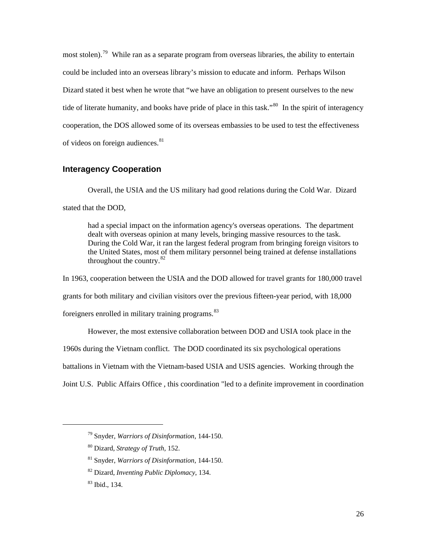<span id="page-30-0"></span>most stolen).<sup>[79](#page-30-1)</sup> While ran as a separate program from overseas libraries, the ability to entertain could be included into an overseas library's mission to educate and inform. Perhaps Wilson Dizard stated it best when he wrote that "we have an obligation to present ourselves to the new tide of literate humanity, and books have pride of place in this task."<sup>[80](#page-30-2)</sup> In the spirit of interagency cooperation, the DOS allowed some of its overseas embassies to be used to test the effectiveness of videos on foreign audiences.<sup>[81](#page-30-3)</sup>

## **Interagency Cooperation**

 Overall, the USIA and the US military had good relations during the Cold War. Dizard stated that the DOD,

had a special impact on the information agency's overseas operations. The department dealt with overseas opinion at many levels, bringing massive resources to the task. During the Cold War, it ran the largest federal program from bringing foreign visitors to the United States, most of them military personnel being trained at defense installations throughout the country. $82$ 

In 1963, cooperation between the USIA and the DOD allowed for travel grants for 180,000 travel grants for both military and civilian visitors over the previous fifteen-year period, with 18,000 foreigners enrolled in military training programs.<sup>[83](#page-30-5)</sup>

However, the most extensive collaboration between DOD and USIA took place in the 1960s during the Vietnam conflict. The DOD coordinated its six psychological operations battalions in Vietnam with the Vietnam-based USIA and USIS agencies. Working through the Joint U.S. Public Affairs Office , this coordination "led to a definite improvement in coordination

<span id="page-30-1"></span><sup>79</sup> Snyder, *Warriors of Disinformation*, 144-150.

<span id="page-30-2"></span><sup>80</sup> Dizard, *Strategy of Truth*, 152.

<span id="page-30-3"></span><sup>81</sup> Snyder, *Warriors of Disinformation*, 144-150.

<span id="page-30-4"></span><sup>82</sup> Dizard, *Inventing Public Diplomacy*, 134.

<span id="page-30-5"></span><sup>83</sup> Ibid., 134.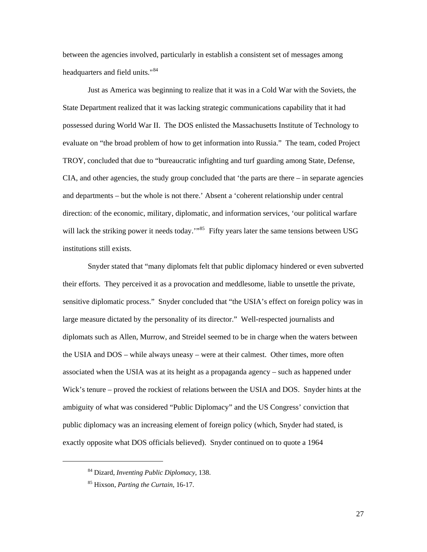between the agencies involved, particularly in establish a consistent set of messages among headquarters and field units."<sup>[84](#page-31-0)</sup>

Just as America was beginning to realize that it was in a Cold War with the Soviets, the State Department realized that it was lacking strategic communications capability that it had possessed during World War II. The DOS enlisted the Massachusetts Institute of Technology to evaluate on "the broad problem of how to get information into Russia." The team, coded Project TROY, concluded that due to "bureaucratic infighting and turf guarding among State, Defense, CIA, and other agencies, the study group concluded that 'the parts are there – in separate agencies and departments – but the whole is not there.' Absent a 'coherent relationship under central direction: of the economic, military, diplomatic, and information services, 'our political warfare will lack the striking power it needs today."<sup>[85](#page-31-1)</sup> Fifty years later the same tensions between USG institutions still exists.

 Snyder stated that "many diplomats felt that public diplomacy hindered or even subverted their efforts. They perceived it as a provocation and meddlesome, liable to unsettle the private, sensitive diplomatic process." Snyder concluded that "the USIA's effect on foreign policy was in large measure dictated by the personality of its director." Well-respected journalists and diplomats such as Allen, Murrow, and Streidel seemed to be in charge when the waters between the USIA and DOS – while always uneasy – were at their calmest. Other times, more often associated when the USIA was at its height as a propaganda agency – such as happened under Wick's tenure – proved the rockiest of relations between the USIA and DOS. Snyder hints at the ambiguity of what was considered "Public Diplomacy" and the US Congress' conviction that public diplomacy was an increasing element of foreign policy (which, Snyder had stated, is exactly opposite what DOS officials believed). Snyder continued on to quote a 1964

<span id="page-31-0"></span><sup>84</sup> Dizard, *Inventing Public Diplomacy*, 138.

<span id="page-31-1"></span><sup>85</sup> Hixson, *Parting the Curtain*, 16-17.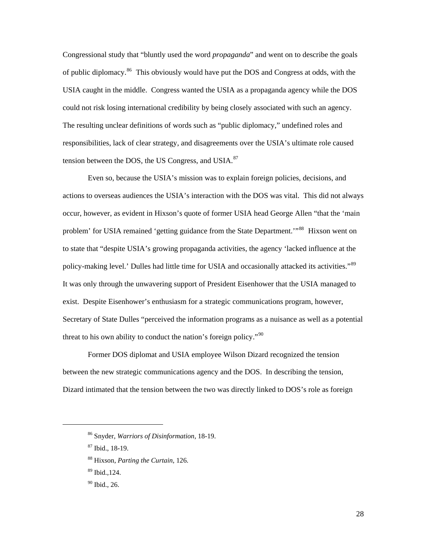Congressional study that "bluntly used the word *propaganda*" and went on to describe the goals of public diplomacy.<sup>[86](#page-32-0)</sup> This obviously would have put the DOS and Congress at odds, with the USIA caught in the middle. Congress wanted the USIA as a propaganda agency while the DOS could not risk losing international credibility by being closely associated with such an agency. The resulting unclear definitions of words such as "public diplomacy," undefined roles and responsibilities, lack of clear strategy, and disagreements over the USIA's ultimate role caused tension between the DOS, the US Congress, and USIA. $^{87}$  $^{87}$  $^{87}$ 

 Even so, because the USIA's mission was to explain foreign policies, decisions, and actions to overseas audiences the USIA's interaction with the DOS was vital. This did not always occur, however, as evident in Hixson's quote of former USIA head George Allen "that the 'main problem' for USIA remained 'getting guidance from the State Department.'"<sup>[88](#page-32-2)</sup> Hixson went on to state that "despite USIA's growing propaganda activities, the agency 'lacked influence at th e policy-making level.' Dulles had little time for USIA and occasionally attacked its activities."<sup>[89](#page-32-3)</sup> It was only through the unwavering support of President Eisenhower that the USIA managed to exist. Despite Eisenhower's enthusiasm for a strategic communications program, however, Secretary of State Dulles "perceived the information programs as a nuisance as well as a potential threat to his own ability to conduct the nation's foreign policy."<sup>[90](#page-32-4)</sup>

 Former DOS diplomat and USIA employee Wilson Dizard recognized the tension between the new strategic communications agency and the DOS. In describing the tension, Dizard intimated that the tension between the two was directly linked to DOS's role as foreign

<span id="page-32-0"></span><sup>86</sup> Snyder, *Warriors of Disinformation*, 18-19.

<span id="page-32-1"></span><sup>87</sup> Ibid., 18-19.

<span id="page-32-2"></span><sup>88</sup> Hixson, *Parting the Curtain*, 126.

<span id="page-32-3"></span><sup>89</sup> Ibid.*,*124.

<span id="page-32-4"></span><sup>90</sup> Ibid., 26.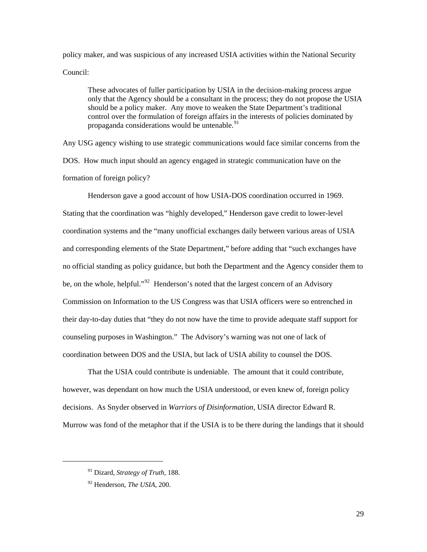policy maker, and was suspicious of any increased USIA activities within the National Security Council:

These advocates of fuller participation by USIA in the decision-making process argue only that the Agency should be a consultant in the process; they do not propose the USIA should be a policy maker. Any move to weaken the State Department's traditional control over the formulation of foreign affairs in the interests of policies dominated by propaganda considerations would be untenable.<sup>[91](#page-33-0)</sup>

Any USG agency wishing to use strategic communications would face similar concerns from the DOS. How much input should an agency engaged in strategic communication have on the formation of foreign policy?

 Henderson gave a good account of how USIA-DOS coordination occurred in 1969. Stating that the coordination was "highly developed," Henderson gave credit to lower-level coordination systems and the "many unofficial exchanges daily between various areas of USIA and corresponding elements of the State Department," before adding that "such exchanges have no official standing as policy guidance, but both the Department and the Agency consider them to be, on the whole, helpful."<sup>[92](#page-33-1)</sup> Henderson's noted that the largest concern of an Advisory Commission on Information to the US Congress was that USIA officers were so entrenched in their day-to-day duties that "they do not now have the time to provide adequate staff support for counseling purposes in Washington." The Advisory's warning was not one of lack of coordination between DOS and the USIA, but lack of USIA ability to counsel the DOS.

 That the USIA could contribute is undeniable. The amount that it could contribute, however, was dependant on how much the USIA understood, or even knew of, foreign policy decisions. As Snyder observed in *Warriors of Disinformation,* USIA director Edward R. Murrow was fond of the metaphor that if the USIA is to be there during the landings that it should

<span id="page-33-0"></span><sup>91</sup> Dizard, *Strategy of Truth*, 188.

<span id="page-33-1"></span><sup>92</sup> Henderson, *The USIA*, 200.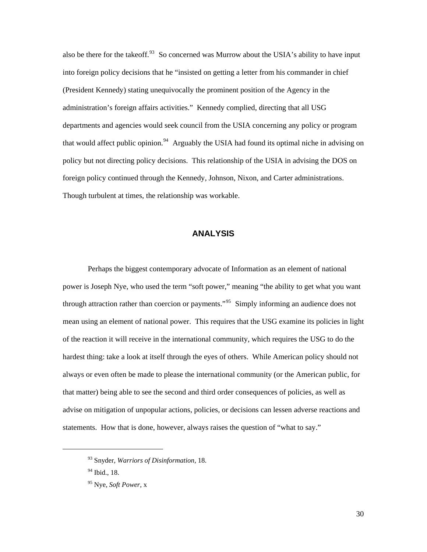<span id="page-34-0"></span>also be there for the takeoff.<sup>[93](#page-34-1)</sup> So concerned was Murrow about the USIA's ability to have input into foreign policy decisions that he "insisted on getting a letter from his commander in chief (President Kennedy) stating unequivocally the prominent position of the Agency in the administration's foreign affairs activities." Kennedy complied, directing that all USG departments and agencies would seek council from the USIA concerning any policy or program that would affect public opinion.<sup>[94](#page-34-2)</sup> Arguably the USIA had found its optimal niche in advising on policy but not directing policy decisions. This relationship of the USIA in advising the DOS on foreign policy continued through the Kennedy, Johnson, Nixon, and Carter administrations. Though turbulent at times, the relationship was workable.

## **ANALYSIS**

Perhaps the biggest contemporary advocate of Information as an element of national power is Joseph Nye, who used the term "soft power," meaning "the ability to get what you want through attraction rather than coercion or payments."[95](#page-34-3) Simply informing an audience does not mean using an element of national power. This requires that the USG examine its policies in light of the reaction it will receive in the international community, which requires the USG to do the hardest thing: take a look at itself through the eyes of others. While American policy should not always or even often be made to please the international community (or the American public, for that matter) being able to see the second and third order consequences of policies, as well as advise on mitigation of unpopular actions, policies, or decisions can lessen adverse reactions and statements. How that is done, however, always raises the question of "what to say."

<span id="page-34-3"></span><span id="page-34-2"></span><span id="page-34-1"></span> $\overline{a}$ 

30

<sup>93</sup> Snyder, *Warriors of Disinformation*, 18.

<sup>94</sup> Ibid., 18.

<sup>95</sup> Nye, *Soft Power*, x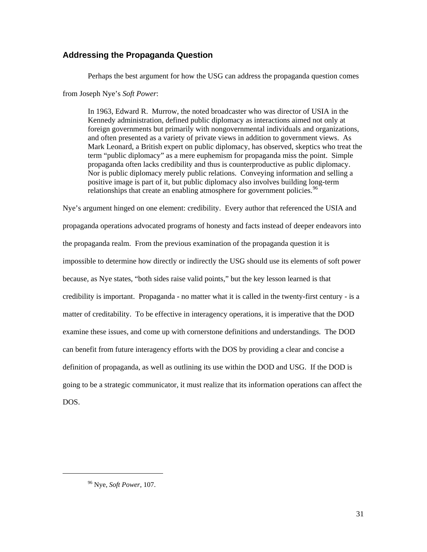## <span id="page-35-0"></span>**Addressing the Propaganda Question**

Perhaps the best argument for how the USG can address the propaganda question comes

## from Joseph Nye's *Soft Power*:

In 1963, Edward R. Murrow, the noted broadcaster who was director of USIA in the Kennedy administration, defined public diplomacy as interactions aimed not only at foreign governments but primarily with nongovernmental individuals and organizations, and often presented as a variety of private views in addition to government views. As Mark Leonard, a British expert on public diplomacy, has observed, skeptics who treat the term "public diplomacy" as a mere euphemism for propaganda miss the point. Simple propaganda often lacks credibility and thus is counterproductive as public diplomacy. Nor is public diplomacy merely public relations. Conveying information and selling a positive image is part of it, but public diplomacy also involves building long-term relationships that create an enabling atmosphere for government policies.<sup>[96](#page-35-1)</sup>

Nye's argument hinged on one element: credibility. Every author that referenced the USIA and propaganda operations advocated programs of honesty and facts instead of deeper endeavors into the propaganda realm. From the previous examination of the propaganda question it is impossible to determine how directly or indirectly the USG should use its elements of soft power because, as Nye states, "both sides raise valid points," but the key lesson learned is that credibility is important. Propaganda - no matter what it is called in the twenty-first century - is a matter of creditability. To be effective in interagency operations, it is imperative that the DOD examine these issues, and come up with cornerstone definitions and understandings. The DOD can benefit from future interagency efforts with the DOS by providing a clear and concise a definition of propaganda, as well as outlining its use within the DOD and USG. If the DOD is going to be a strategic communicator, it must realize that its information operations can affect the DOS.

<span id="page-35-1"></span><sup>96</sup> Nye, *Soft Power*, 107.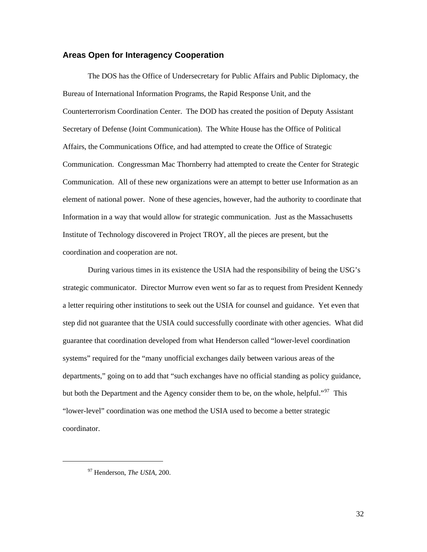## <span id="page-36-0"></span>**Areas Open for Interagency Cooperation**

 The DOS has the Office of Undersecretary for Public Affairs and Public Diplomacy, the Bureau of International Information Programs, the Rapid Response Unit, and the Counterterrorism Coordination Center. The DOD has created the position of Deputy Assistant Secretary of Defense (Joint Communication). The White House has the Office of Political Affairs, the Communications Office, and had attempted to create the Office of Strategic Communication. Congressman Mac Thornberry had attempted to create the Center for Strategic Communication. All of these new organizations were an attempt to better use Information as an element of national power. None of these agencies, however, had the authority to coordinate that Information in a way that would allow for strategic communication. Just as the Massachusetts Institute of Technology discovered in Project TROY, all the pieces are present, but the coordination and cooperation are not.

 During various times in its existence the USIA had the responsibility of being the USG's strategic communicator. Director Murrow even went so far as to request from President Kennedy a letter requiring other institutions to seek out the USIA for counsel and guidance. Yet even that step did not guarantee that the USIA could successfully coordinate with other agencies. What did guarantee that coordination developed from what Henderson called "lower-level coordination systems" required for the "many unofficial exchanges daily between various areas of the departments," going on to add that "such exchanges have no official standing as policy guidance, but both the Department and the Agency consider them to be, on the whole, helpful."<sup>[97](#page-36-1)</sup> This "lower-level" coordination was one method the USIA used to become a better strategic coordinator.

<span id="page-36-1"></span><sup>97</sup> Henderson, *The USIA*, 200.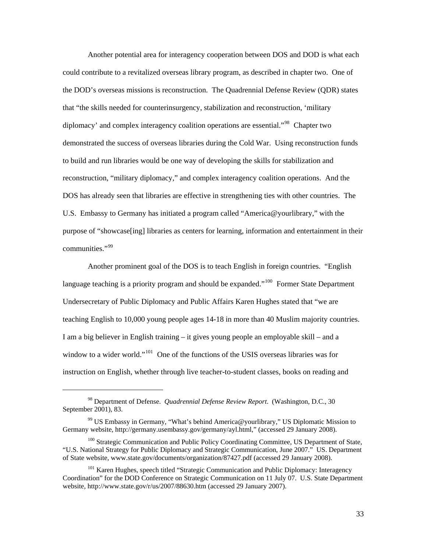Another potential area for interagency cooperation between DOS and DOD is what each could contribute to a revitalized overseas library program, as described in chapter two. One of the DOD's overseas missions is reconstruction. The Quadrennial Defense Review (QDR) states that "the skills needed for counterinsurgency, stabilization and reconstruction, 'military diplomacy' and complex interagency coalition operations are essential."<sup>[98](#page-37-0)</sup> Chapter two demonstrated the success of overseas libraries during the Cold War. Using reconstruction funds to build and run libraries would be one way of developing the skills for stabilization and reconstruction, "military diplomacy," and complex interagency coalition operations. And the DOS has already seen that libraries are effective in strengthening ties with other countries. The U.S. Embassy to Germany has initiated a program called "America@yourlibrary," with the purpose of "showcase[ing] libraries as centers for learning, information and entertainment in their communities."[99](#page-37-1)

Another prominent goal of the DOS is to teach English in foreign countries. "English language teaching is a priority program and should be expanded."<sup>[100](#page-37-2)</sup> Former State Department Undersecretary of Public Diplomacy and Public Affairs Karen Hughes stated that "we are teaching English to 10,000 young people ages 14-18 in more than 40 Muslim majority countries. I am a big believer in English training – it gives young people an employable skill – and a window to a wider world."<sup>[101](#page-37-3)</sup> One of the functions of the USIS overseas libraries was for instruction on English, whether through live teacher-to-student classes, books on reading and

 $\overline{\phantom{a}}$ 

<span id="page-37-0"></span><sup>98</sup> Department of Defense. *Quadrennial Defense Review Report*. (Washington, D.C., 30 September 2001), 83.

<span id="page-37-1"></span><sup>99</sup> US Embassy in Germany, "What's behind America@yourlibrary," US Diplomatic Mission to Germany website, http://germany.usembassy.gov/germany/ayl.html," (accessed 29 January 2008).

<span id="page-37-2"></span><sup>&</sup>lt;sup>100</sup> Strategic Communication and Public Policy Coordinating Committee, US Department of State, "U.S. National Strategy for Public Diplomacy and Strategic Communication, June 2007." US. Department of State website, www.state.gov/documents/organization/87427.pdf (accessed 29 January 2008).

<span id="page-37-3"></span><sup>&</sup>lt;sup>101</sup> Karen Hughes, speech titled "Strategic Communication and Public Diplomacy: Interagency Coordination" for the DOD Conference on Strategic Communication on 11 July 07. U.S. State Department website, http://www.state.gov/r/us/2007/88630.htm (accessed 29 January 2007).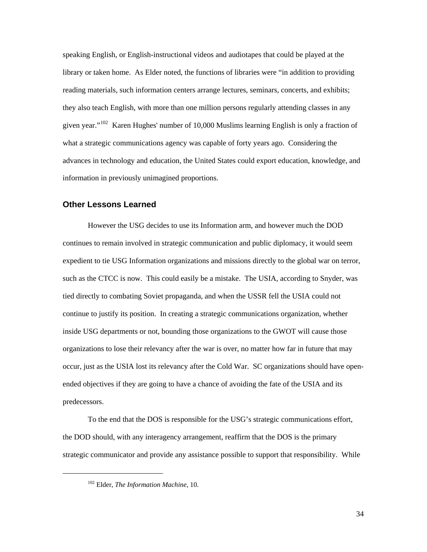<span id="page-38-0"></span>speaking English, or English-instructional videos and audiotapes that could be played at the library or taken home. As Elder noted, the functions of libraries were "in addition to providing reading materials, such information centers arrange lectures, seminars, concerts, and exhibits; they also teach English, with more than one million persons regularly attending classes in any given year."[102](#page-38-1) Karen Hughes' number of 10,000 Muslims learning English is only a fraction of what a strategic communications agency was capable of forty years ago. Considering the advances in technology and education, the United States could export education, knowledge, and information in previously unimagined proportions.

## **Other Lessons Learned**

 However the USG decides to use its Information arm, and however much the DOD continues to remain involved in strategic communication and public diplomacy, it would seem expedient to tie USG Information organizations and missions directly to the global war on terror, such as the CTCC is now. This could easily be a mistake. The USIA, according to Snyder, was tied directly to combating Soviet propaganda, and when the USSR fell the USIA could not continue to justify its position. In creating a strategic communications organization, whether inside USG departments or not, bounding those organizations to the GWOT will cause those organizations to lose their relevancy after the war is over, no matter how far in future that may occur, just as the USIA lost its relevancy after the Cold War. SC organizations should have openended objectives if they are going to have a chance of avoiding the fate of the USIA and its predecessors.

 To the end that the DOS is responsible for the USG's strategic communications effort, the DOD should, with any interagency arrangement, reaffirm that the DOS is the primary strategic communicator and provide any assistance possible to support that responsibility. While

<span id="page-38-1"></span> $\overline{\phantom{a}}$ 

34

<sup>102</sup> Elder, *The Information Machine*, 10.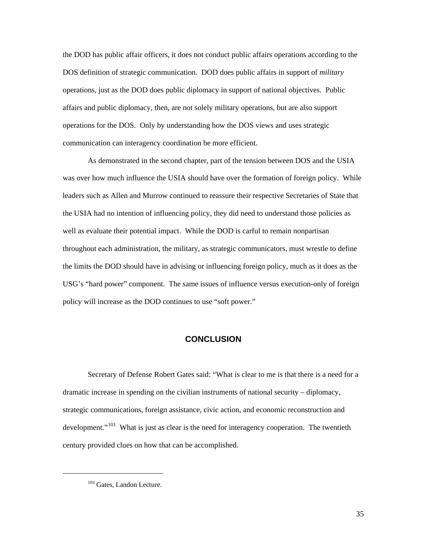<span id="page-39-0"></span>the DOD has public affair officers, it does not conduct public affairs operations according to the DOS definition of strategic communication. DOD does public affairs in support of *military*  operations, just as the DOD does public diplomacy in support of national objectives. Public affairs and public diplomacy, then, are not solely military operations, but are also support operations for the DOS. Only by understanding how the DOS views and uses strategic communication can interagency coordination be more efficient.

 As demonstrated in the second chapter, part of the tension between DOS and the USIA was over how much influence the USIA should have over the formation of foreign policy. While leaders such as Allen and Murrow continued to reassure their respective Secretaries of State that the USIA had no intention of influencing policy, they did need to understand those policies as well as evaluate their potential impact. While the DOD is carful to remain nonpartisan throughout each administration, the military, as strategic communicators, must wrestle to define the limits the DOD should have in advising or influencing foreign policy, much as it does as the USG's "hard power" component. The same issues of influence versus execution-only of foreign policy will increase as the DOD continues to use "soft power."

## **CONCLUSION**

Secretary of Defense Robert Gates said: "What is clear to me is that there is a need for a dramatic increase in spending on the civilian instruments of national security – diplomacy, strategic communications, foreign assistance, civic action, and economic reconstruction and development."<sup>[103](#page-39-1)</sup> What is just as clear is the need for interagency cooperation. The twentieth century provided clues on how that can be accomplished.

<span id="page-39-1"></span> $\overline{\phantom{a}}$ 

<sup>&</sup>lt;sup>103</sup> Gates, Landon Lecture.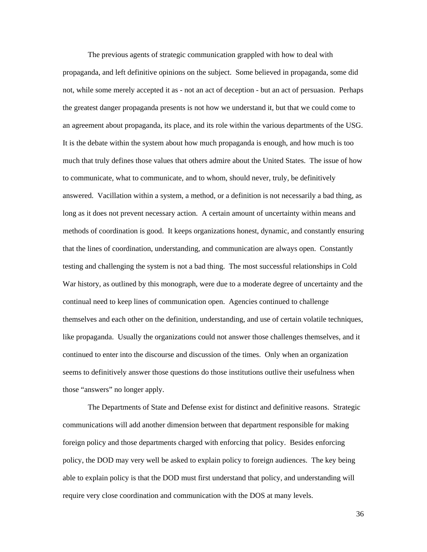The previous agents of strategic communication grappled with how to deal with propaganda, and left definitive opinions on the subject. Some believed in propaganda, some did not, while some merely accepted it as - not an act of deception - but an act of persuasion. Perhaps the greatest danger propaganda presents is not how we understand it, but that we could come to an agreement about propaganda, its place, and its role within the various departments of the USG. It is the debate within the system about how much propaganda is enough, and how much is too much that truly defines those values that others admire about the United States. The issue of how to communicate, what to communicate, and to whom, should never, truly, be definitively answered. Vacillation within a system, a method, or a definition is not necessarily a bad thing, as long as it does not prevent necessary action. A certain amount of uncertainty within means and methods of coordination is good. It keeps organizations honest, dynamic, and constantly ensuring that the lines of coordination, understanding, and communication are always open. Constantly testing and challenging the system is not a bad thing. The most successful relationships in Cold War history, as outlined by this monograph, were due to a moderate degree of uncertainty and the continual need to keep lines of communication open. Agencies continued to challenge themselves and each other on the definition, understanding, and use of certain volatile techniques, like propaganda. Usually the organizations could not answer those challenges themselves, and it continued to enter into the discourse and discussion of the times. Only when an organization seems to definitively answer those questions do those institutions outlive their usefulness when those "answers" no longer apply.

The Departments of State and Defense exist for distinct and definitive reasons. Strategic communications will add another dimension between that department responsible for making foreign policy and those departments charged with enforcing that policy. Besides enforcing policy, the DOD may very well be asked to explain policy to foreign audiences. The key being able to explain policy is that the DOD must first understand that policy, and understanding will require very close coordination and communication with the DOS at many levels.

36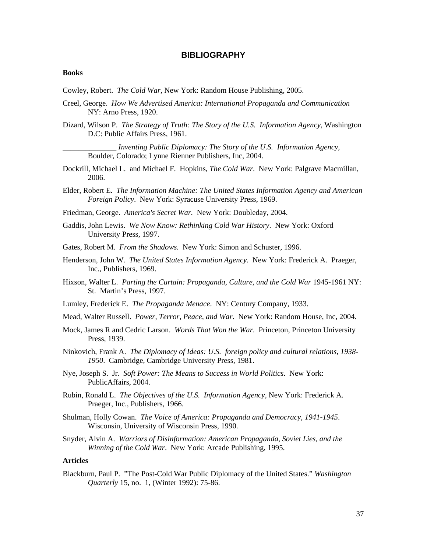## **BIBLIOGRAPHY**

#### <span id="page-41-0"></span>**Books**

Cowley, Robert. *The Cold War,* New York: Random House Publishing, 2005.

- Creel, George. *How We Advertised America: International Propaganda and Communication* NY: Arno Press, 1920.
- Dizard, Wilson P. *The Strategy of Truth: The Story of the U.S. Information Agency*, Washington D.C: Public Affairs Press, 1961.

\_\_\_\_\_\_\_\_\_\_\_\_\_\_ *Inventing Public Diplomacy: The Story of the U.S. Information Agency*, Boulder, Colorado; Lynne Rienner Publishers, Inc, 2004.

- Dockrill, Michael L. and Michael F. Hopkins, *The Cold War*. New York: Palgrave Macmillan, 2006.
- Elder, Robert E. *The Information Machine: The United States Information Agency and American Foreign Policy*. New York: Syracuse University Press, 1969.
- Friedman, George. *America's Secret War.* New York: Doubleday, 2004.
- Gaddis, John Lewis. *We Now Know: Rethinking Cold War History*. New York: Oxford University Press, 1997.
- Gates, Robert M. *From the Shadows.* New York: Simon and Schuster, 1996.
- Henderson, John W. *The United States Information Agency.* New York: Frederick A. Praeger, Inc., Publishers, 1969.
- Hixson, Walter L. *Parting the Curtain: Propaganda, Culture, and the Cold War* 1945-1961 NY: St. Martin's Press, 1997.
- Lumley, Frederick E. *The Propaganda Menace*. NY: Century Company, 1933.
- Mead, Walter Russell. *Power, Terror, Peace, and War*. New York: Random House, Inc, 2004.
- Mock, James R and Cedric Larson. *Words That Won the War*. Princeton, Princeton University Press, 1939.
- Ninkovich, Frank A. *The Diplomacy of Ideas: U.S. foreign policy and cultural relations, 1938- 1950*. Cambridge, Cambridge University Press, 1981.
- Nye, Joseph S. Jr. *Soft Power: The Means to Success in World Politics*. New York: PublicAffairs, 2004.
- Rubin, Ronald L. *The Objectives of the U.S. Information Agency,* New York: Frederick A. Praeger, Inc., Publishers, 1966.
- Shulman, Holly Cowan. *The Voice of America: Propaganda and Democracy, 1941-1945*. Wisconsin, University of Wisconsin Press, 1990.
- Snyder, Alvin A. *Warriors of Disinformation: American Propaganda, Soviet Lies, and the Winning of the Cold War*. New York: Arcade Publishing, 1995.

#### **Articles**

Blackburn, Paul P. "The Post-Cold War Public Diplomacy of the United States." *Washington Quarterly* 15, no. 1, (Winter 1992): 75-86.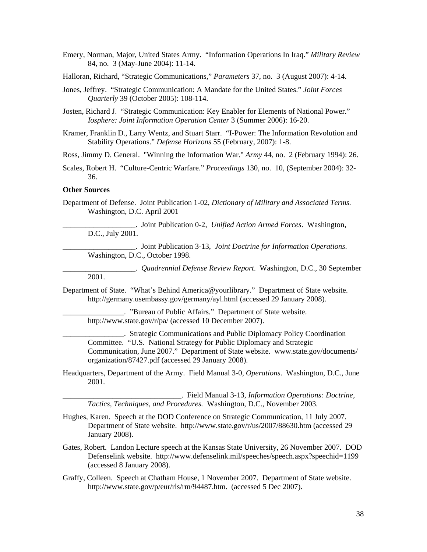- Emery, Norman, Major, United States Army. "Information Operations In Iraq." *Military Review* 84, no. 3 (May-June 2004): 11-14.
- Halloran, Richard, "Strategic Communications," *Parameters* 37, no. 3 (August 2007): 4-14.
- Jones, Jeffrey. "Strategic Communication: A Mandate for the United States." *Joint Forces Quarterly* 39 (October 2005): 108-114.
- Josten, Richard J. "Strategic Communication: Key Enabler for Elements of National Power." *Iosphere: Joint Information Operation Center* 3 (Summer 2006): 16-20.
- Kramer, Franklin D., Larry Wentz, and Stuart Starr. "I-Power: The Information Revolution and Stability Operations." *Defense Horizons* 55 (February, 2007): 1-8.

Ross, Jimmy D. General. "Winning the Information War." *Army* 44, no. 2 (February 1994): 26.

Scales, Robert H. "Culture-Centric Warfare." *Proceedings* 130, no. 10, (September 2004): 32- 36.

#### **Other Sources**

Department of Defense. Joint Publication 1-02, *Dictionary of Military and Associated Terms.* Washington, D.C. April 2001

\_\_\_\_\_\_\_\_\_\_\_\_\_\_\_\_\_\_\_. Joint Publication 0-2, *Unified Action Armed Forces*. Washington, D.C., July 2001.

\_\_\_\_\_\_\_\_\_\_\_\_\_\_\_\_\_\_\_. Joint Publication 3-13, *Joint Doctrine for Information Operations*. Washington, D.C., October 1998.

\_\_\_\_\_\_\_\_\_\_\_\_\_\_\_\_\_\_\_. *Quadrennial Defense Review Report*. Washington, D.C., 30 September 2001.

Department of State. "What's Behind America@yourlibrary." Department of State website. http://germany.usembassy.gov/germany/ayl.html (accessed 29 January 2008).

\_\_\_\_\_\_\_\_\_\_\_\_\_\_\_\_. "Bureau of Public Affairs." Department of State website. http://www.state.gov/r/pa/ (accessed 10 December 2007).

\_\_\_\_\_\_\_\_\_\_\_\_\_\_\_\_. Strategic Communications and Public Diplomacy Policy Coordination Committee. "U.S. National Strategy for Public Diplomacy and Strategic Communication, June 2007." Department of State website. www.state.gov/documents/ organization/87427.pdf (accessed 29 January 2008).

Headquarters, Department of the Army. Field Manual 3-0, *Operations*. Washington, D.C., June 2001.

\_\_\_\_\_\_\_\_\_\_\_\_\_\_\_\_\_\_\_\_\_\_\_\_\_\_\_\_\_\_\_. Field Manual 3-13, *Information Operations: Doctrine, Tactics, Techniques, and Procedures.* Washington, D.C., November 2003.

- Hughes, Karen. Speech at the DOD Conference on Strategic Communication, 11 July 2007. Department of State website. http://www.state.gov/r/us/2007/88630.htm (accessed 29 January 2008).
- Gates, Robert. Landon Lecture speech at the Kansas State University, 26 November 2007. DOD Defenselink website. http://www.defenselink.mil/speeches/speech.aspx?speechid=1199 (accessed 8 January 2008).
- Graffy, Colleen. Speech at Chatham House, 1 November 2007. Department of State website. http://www.state.gov/p/eur/rls/rm/94487.htm. (accessed 5 Dec 2007).